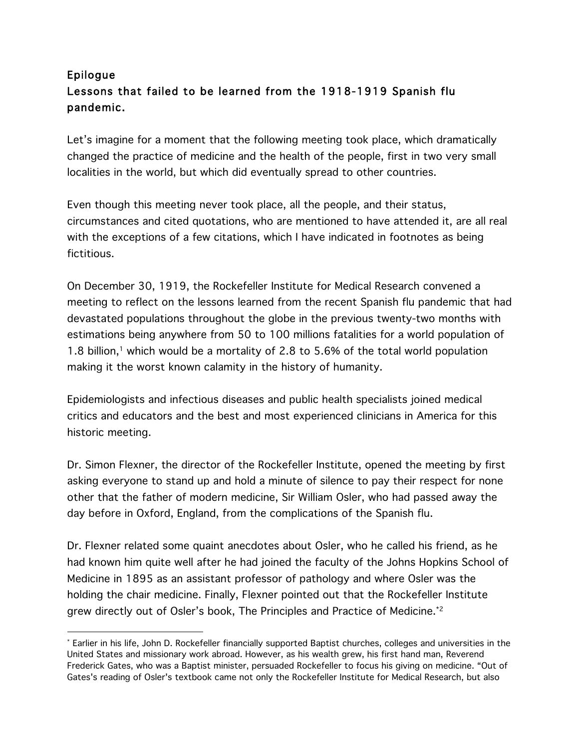## Epilogue Lessons that failed to be learned from the 1918-1919 Spanish flu pandemic.

Let's imagine for a moment that the following meeting took place, which dramatically changed the practice of medicine and the health of the people, first in two very small localities in the world, but which did eventually spread to other countries.

Even though this meeting never took place, all the people, and their status, circumstances and cited quotations, who are mentioned to have attended it, are all real with the exceptions of a few citations, which I have indicated in footnotes as being fictitious.

On December 30, 1919, the Rockefeller Institute for Medical Research convened a meeting to reflect on the lessons learned from the recent Spanish flu pandemic that had devastated populations throughout the globe in the previous twenty-two months with estimations being anywhere from 50 to 100 millions fatalities for a world population of 1.8 billion, <sup>1</sup> which would be a mortality of 2.8 to 5.6% of the total world population making it the worst known calamity in the history of humanity.

Epidemiologists and infectious diseases and public health specialists joined medical critics and educators and the best and most experienced clinicians in America for this historic meeting.

Dr. Simon Flexner, the director of the Rockefeller Institute, opened the meeting by first asking everyone to stand up and hold a minute of silence to pay their respect for none other that the father of modern medicine, Sir William Osler, who had passed away the day before in Oxford, England, from the complications of the Spanish flu.

Dr. Flexner related some quaint anecdotes about Osler, who he called his friend, as he had known him quite well after he had joined the faculty of the Johns Hopkins School of Medicine in 1895 as an assistant professor of pathology and where Osler was the holding the chair medicine. Finally, Flexner pointed out that the Rockefeller Institute grew directly out of Osler's book, The Principles and Practice of Medicine.\*2

 \* Earlier in his life, John D. Rockefeller financially supported Baptist churches, colleges and universities in the United States and missionary work abroad. However, as his wealth grew, his first hand man, Reverend Frederick Gates, who was a Baptist minister, persuaded Rockefeller to focus his giving on medicine. "Out of Gates's reading of Osler's textbook came not only the Rockefeller Institute for Medical Research, but also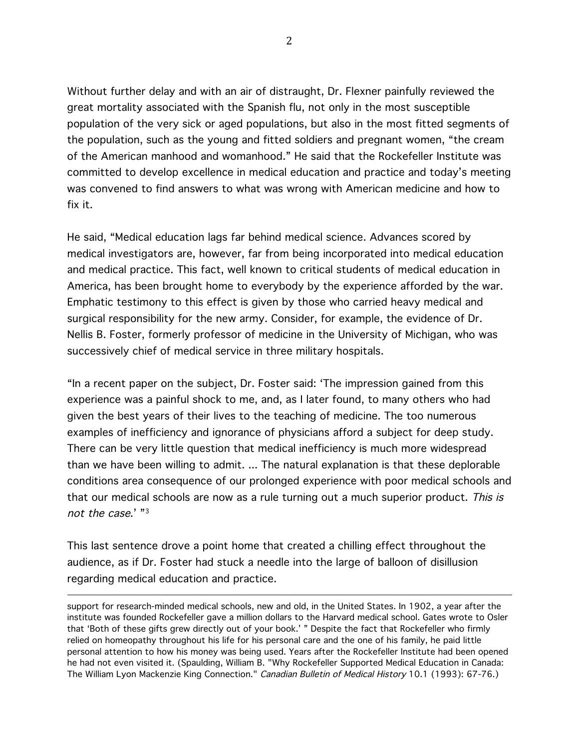Without further delay and with an air of distraught, Dr. Flexner painfully reviewed the great mortality associated with the Spanish flu, not only in the most susceptible population of the very sick or aged populations, but also in the most fitted segments of the population, such as the young and fitted soldiers and pregnant women, "the cream of the American manhood and womanhood." He said that the Rockefeller Institute was committed to develop excellence in medical education and practice and today's meeting was convened to find answers to what was wrong with American medicine and how to fix it.

He said, "Medical education lags far behind medical science. Advances scored by medical investigators are, however, far from being incorporated into medical education and medical practice. This fact, well known to critical students of medical education in America, has been brought home to everybody by the experience afforded by the war. Emphatic testimony to this effect is given by those who carried heavy medical and surgical responsibility for the new army. Consider, for example, the evidence of Dr. Nellis B. Foster, formerly professor of medicine in the University of Michigan, who was successively chief of medical service in three military hospitals.

"In a recent paper on the subject, Dr. Foster said: 'The impression gained from this experience was a painful shock to me, and, as I later found, to many others who had given the best years of their lives to the teaching of medicine. The too numerous examples of inefficiency and ignorance of physicians afford a subject for deep study. There can be very little question that medical inefficiency is much more widespread than we have been willing to admit. ... The natural explanation is that these deplorable conditions area consequence of our prolonged experience with poor medical schools and that our medical schools are now as a rule turning out a much superior product. This is not the case.'"<sup>3</sup>

This last sentence drove a point home that created a chilling effect throughout the audience, as if Dr. Foster had stuck a needle into the large of balloon of disillusion regarding medical education and practice.

support for research-minded medical schools, new and old, in the United States. In 1902, a year after the institute was founded Rockefeller gave a million dollars to the Harvard medical school. Gates wrote to Osler that 'Both of these gifts grew directly out of your book.' " Despite the fact that Rockefeller who firmly relied on homeopathy throughout his life for his personal care and the one of his family, he paid little personal attention to how his money was being used. Years after the Rockefeller Institute had been opened he had not even visited it. (Spaulding, William B. "Why Rockefeller Supported Medical Education in Canada: The William Lyon Mackenzie King Connection." Canadian Bulletin of Medical History 10.1 (1993): 67-76.)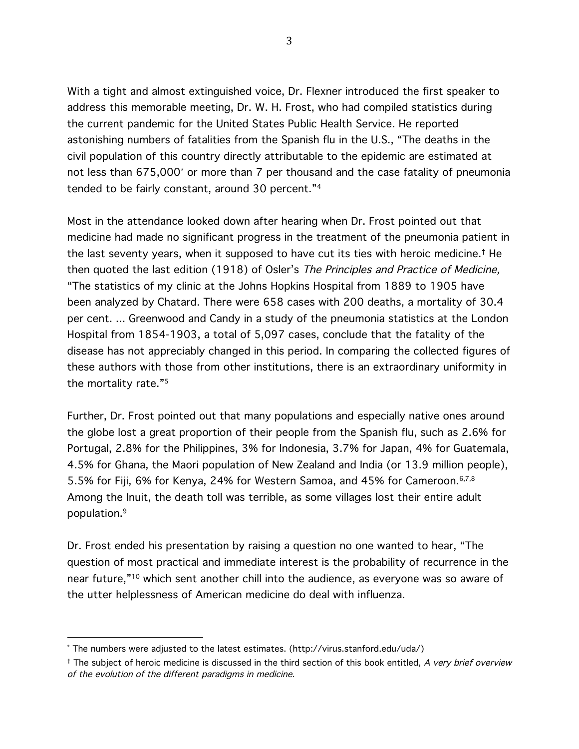With a tight and almost extinguished voice, Dr. Flexner introduced the first speaker to address this memorable meeting, Dr. W. H. Frost, who had compiled statistics during the current pandemic for the United States Public Health Service. He reported astonishing numbers of fatalities from the Spanish flu in the U.S., "The deaths in the civil population of this country directly attributable to the epidemic are estimated at not less than 675,000\* or more than 7 per thousand and the case fatality of pneumonia tended to be fairly constant, around 30 percent."4

Most in the attendance looked down after hearing when Dr. Frost pointed out that medicine had made no significant progress in the treatment of the pneumonia patient in the last seventy years, when it supposed to have cut its ties with heroic medicine. † He then quoted the last edition (1918) of Osler's The Principles and Practice of Medicine, "The statistics of my clinic at the Johns Hopkins Hospital from 1889 to 1905 have been analyzed by Chatard. There were 658 cases with 200 deaths, a mortality of 30.4 per cent. ... Greenwood and Candy in a study of the pneumonia statistics at the London Hospital from 1854-1903, a total of 5,097 cases, conclude that the fatality of the disease has not appreciably changed in this period. In comparing the collected figures of these authors with those from other institutions, there is an extraordinary uniformity in the mortality rate."5

Further, Dr. Frost pointed out that many populations and especially native ones around the globe lost a great proportion of their people from the Spanish flu, such as 2.6% for Portugal, 2.8% for the Philippines, 3% for Indonesia, 3.7% for Japan, 4% for Guatemala, 4.5% for Ghana, the Maori population of New Zealand and India (or 13.9 million people), 5.5% for Fiji, 6% for Kenya, 24% for Western Samoa, and 45% for Cameroon.<sup>6,7,8</sup> Among the Inuit, the death toll was terrible, as some villages lost their entire adult population.9

Dr. Frost ended his presentation by raising a question no one wanted to hear, "The question of most practical and immediate interest is the probability of recurrence in the near future,"10 which sent another chill into the audience, as everyone was so aware of the utter helplessness of American medicine do deal with influenza.

<sup>\*</sup> The numbers were adjusted to the latest estimates. (http://virus.stanford.edu/uda/)

<sup>&</sup>lt;sup>†</sup> The subject of heroic medicine is discussed in the third section of this book entitled, A very brief overview of the evolution of the different paradigms in medicine.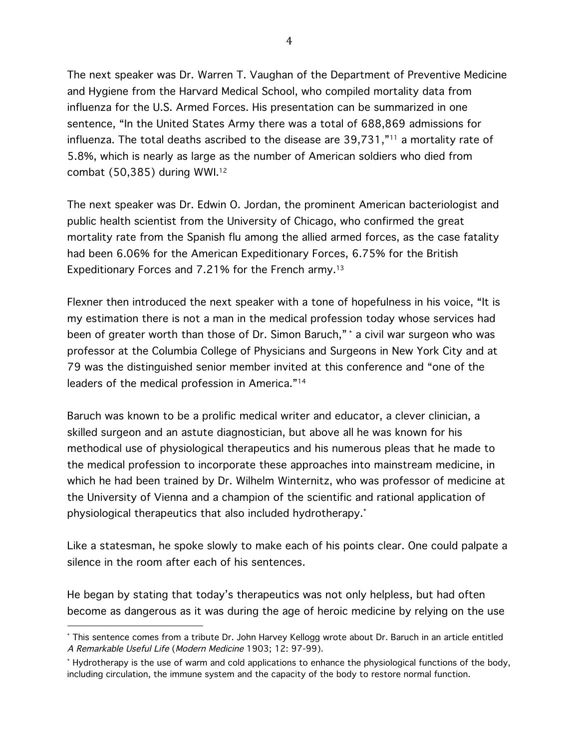The next speaker was Dr. Warren T. Vaughan of the Department of Preventive Medicine and Hygiene from the Harvard Medical School, who compiled mortality data from influenza for the U.S. Armed Forces. His presentation can be summarized in one sentence, "In the United States Army there was a total of 688,869 admissions for influenza. The total deaths ascribed to the disease are 39,731,"11 a mortality rate of 5.8%, which is nearly as large as the number of American soldiers who died from combat (50,385) during WWI.12

The next speaker was Dr. Edwin O. Jordan, the prominent American bacteriologist and public health scientist from the University of Chicago, who confirmed the great mortality rate from the Spanish flu among the allied armed forces, as the case fatality had been 6.06% for the American Expeditionary Forces, 6.75% for the British Expeditionary Forces and 7.21% for the French army.13

Flexner then introduced the next speaker with a tone of hopefulness in his voice, "It is my estimation there is not a man in the medical profession today whose services had been of greater worth than those of Dr. Simon Baruch," \* a civil war surgeon who was professor at the Columbia College of Physicians and Surgeons in New York City and at 79 was the distinguished senior member invited at this conference and "one of the leaders of the medical profession in America."14

Baruch was known to be a prolific medical writer and educator, a clever clinician, a skilled surgeon and an astute diagnostician, but above all he was known for his methodical use of physiological therapeutics and his numerous pleas that he made to the medical profession to incorporate these approaches into mainstream medicine, in which he had been trained by Dr. Wilhelm Winternitz, who was professor of medicine at the University of Vienna and a champion of the scientific and rational application of physiological therapeutics that also included hydrotherapy.\*

Like a statesman, he spoke slowly to make each of his points clear. One could palpate a silence in the room after each of his sentences.

He began by stating that today's therapeutics was not only helpless, but had often become as dangerous as it was during the age of heroic medicine by relying on the use

<sup>\*</sup> This sentence comes from a tribute Dr. John Harvey Kellogg wrote about Dr. Baruch in an article entitled A Remarkable Useful Life (Modern Medicine 1903; 12: 97-99).

<sup>\*</sup> Hydrotherapy is the use of warm and cold applications to enhance the physiological functions of the body, including circulation, the immune system and the capacity of the body to restore normal function.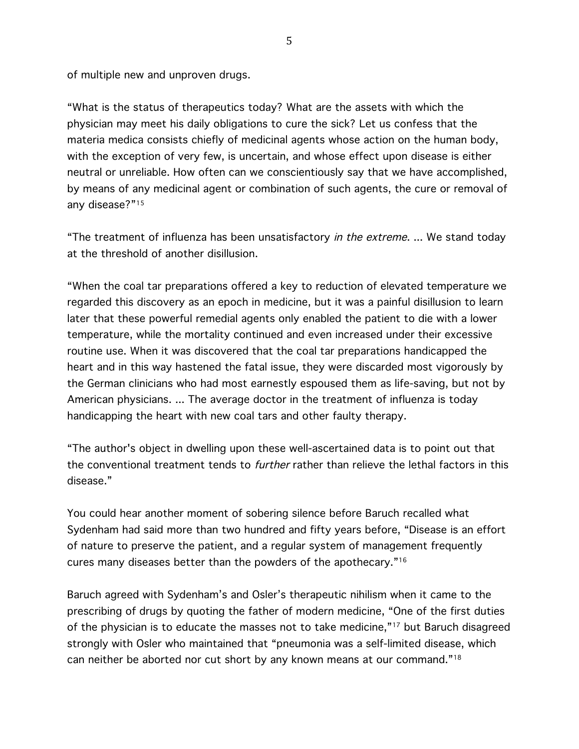of multiple new and unproven drugs.

"What is the status of therapeutics today? What are the assets with which the physician may meet his daily obligations to cure the sick? Let us confess that the materia medica consists chiefly of medicinal agents whose action on the human body, with the exception of very few, is uncertain, and whose effect upon disease is either neutral or unreliable. How often can we conscientiously say that we have accomplished, by means of any medicinal agent or combination of such agents, the cure or removal of any disease?"15

"The treatment of influenza has been unsatisfactory in the extreme. ... We stand today at the threshold of another disillusion.

"When the coal tar preparations offered a key to reduction of elevated temperature we regarded this discovery as an epoch in medicine, but it was a painful disillusion to learn later that these powerful remedial agents only enabled the patient to die with a lower temperature, while the mortality continued and even increased under their excessive routine use. When it was discovered that the coal tar preparations handicapped the heart and in this way hastened the fatal issue, they were discarded most vigorously by the German clinicians who had most earnestly espoused them as life-saving, but not by American physicians. ... The average doctor in the treatment of influenza is today handicapping the heart with new coal tars and other faulty therapy.

"The author's object in dwelling upon these well-ascertained data is to point out that the conventional treatment tends to *further* rather than relieve the lethal factors in this disease."

You could hear another moment of sobering silence before Baruch recalled what Sydenham had said more than two hundred and fifty years before, "Disease is an effort of nature to preserve the patient, and a regular system of management frequently cures many diseases better than the powders of the apothecary."16

Baruch agreed with Sydenham's and Osler's therapeutic nihilism when it came to the prescribing of drugs by quoting the father of modern medicine, "One of the first duties of the physician is to educate the masses not to take medicine,"17 but Baruch disagreed strongly with Osler who maintained that "pneumonia was a self-limited disease, which can neither be aborted nor cut short by any known means at our command."18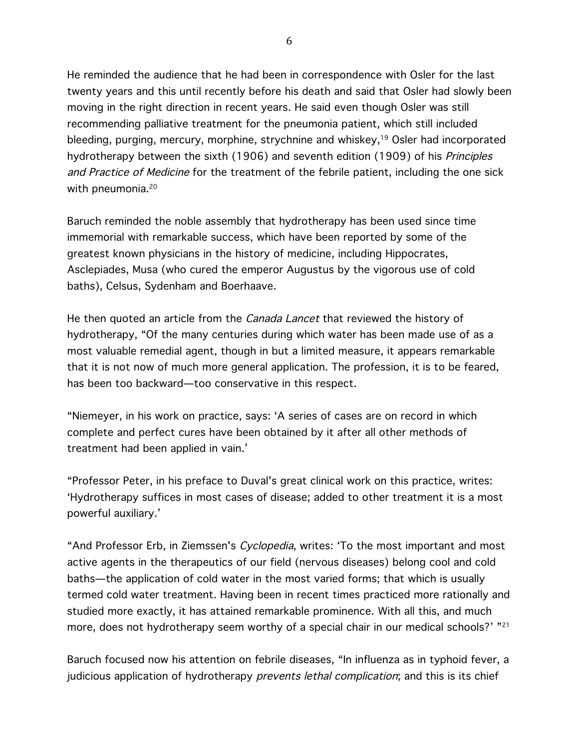He reminded the audience that he had been in correspondence with Osler for the last twenty years and this until recently before his death and said that Osler had slowly been moving in the right direction in recent years. He said even though Osler was still recommending palliative treatment for the pneumonia patient, which still included bleeding, purging, mercury, morphine, strychnine and whiskey, <sup>19</sup> Osler had incorporated hydrotherapy between the sixth (1906) and seventh edition (1909) of his Principles and Practice of Medicine for the treatment of the febrile patient, including the one sick with pneumonia. 20

Baruch reminded the noble assembly that hydrotherapy has been used since time immemorial with remarkable success, which have been reported by some of the greatest known physicians in the history of medicine, including Hippocrates, Asclepiades, Musa (who cured the emperor Augustus by the vigorous use of cold baths), Celsus, Sydenham and Boerhaave.

He then quoted an article from the *Canada Lancet* that reviewed the history of hydrotherapy, "Of the many centuries during which water has been made use of as a most valuable remedial agent, though in but a limited measure, it appears remarkable that it is not now of much more general application. The profession, it is to be feared, has been too backward—too conservative in this respect.

"Niemeyer, in his work on practice, says: 'A series of cases are on record in which complete and perfect cures have been obtained by it after all other methods of treatment had been applied in vain.'

"Professor Peter, in his preface to Duval's great clinical work on this practice, writes: 'Hydrotherapy suffices in most cases of disease; added to other treatment it is a most powerful auxiliary.'

"And Professor Erb, in Ziemssen's Cyclopedia, writes: 'To the most important and most active agents in the therapeutics of our field (nervous diseases) belong cool and cold baths—the application of cold water in the most varied forms; that which is usually termed cold water treatment. Having been in recent times practiced more rationally and studied more exactly, it has attained remarkable prominence. With all this, and much more, does not hydrotherapy seem worthy of a special chair in our medical schools?' "21

Baruch focused now his attention on febrile diseases, "In influenza as in typhoid fever, a judicious application of hydrotherapy *prevents lethal complication*; and this is its chief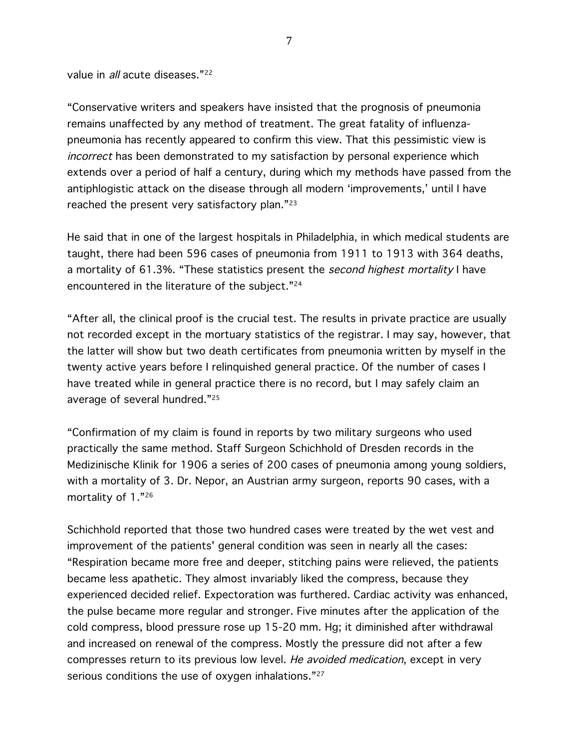value in *all* acute diseases."<sup>22</sup>

"Conservative writers and speakers have insisted that the prognosis of pneumonia remains unaffected by any method of treatment. The great fatality of influenzapneumonia has recently appeared to confirm this view. That this pessimistic view is incorrect has been demonstrated to my satisfaction by personal experience which extends over a period of half a century, during which my methods have passed from the antiphlogistic attack on the disease through all modern 'improvements,' until I have reached the present very satisfactory plan."23

He said that in one of the largest hospitals in Philadelphia, in which medical students are taught, there had been 596 cases of pneumonia from 1911 to 1913 with 364 deaths, a mortality of 61.3%. "These statistics present the second highest mortality I have encountered in the literature of the subject."24

"After all, the clinical proof is the crucial test. The results in private practice are usually not recorded except in the mortuary statistics of the registrar. I may say, however, that the latter will show but two death certificates from pneumonia written by myself in the twenty active years before I relinquished general practice. Of the number of cases I have treated while in general practice there is no record, but I may safely claim an average of several hundred."25

"Confirmation of my claim is found in reports by two military surgeons who used practically the same method. Staff Surgeon Schichhold of Dresden records in the Medizinische Klinik for 1906 a series of 200 cases of pneumonia among young soldiers, with a mortality of 3. Dr. Nepor, an Austrian army surgeon, reports 90 cases, with a mortality of 1."26

Schichhold reported that those two hundred cases were treated by the wet vest and improvement of the patients' general condition was seen in nearly all the cases: "Respiration became more free and deeper, stitching pains were relieved, the patients became less apathetic. They almost invariably liked the compress, because they experienced decided relief. Expectoration was furthered. Cardiac activity was enhanced, the pulse became more regular and stronger. Five minutes after the application of the cold compress, blood pressure rose up 15-20 mm. Hg; it diminished after withdrawal and increased on renewal of the compress. Mostly the pressure did not after a few compresses return to its previous low level. He avoided medication, except in very serious conditions the use of oxygen inhalations."<sup>27</sup>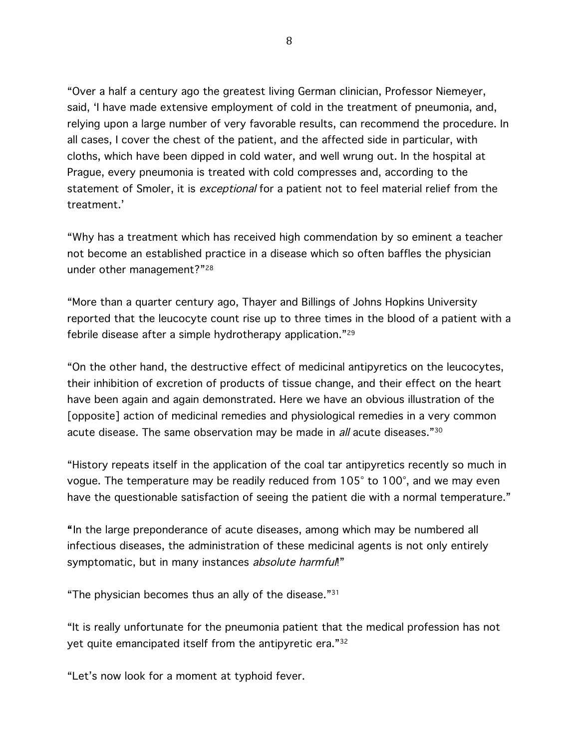"Over a half a century ago the greatest living German clinician, Professor Niemeyer, said, 'I have made extensive employment of cold in the treatment of pneumonia, and, relying upon a large number of very favorable results, can recommend the procedure. In all cases, I cover the chest of the patient, and the affected side in particular, with cloths, which have been dipped in cold water, and well wrung out. In the hospital at Prague, every pneumonia is treated with cold compresses and, according to the statement of Smoler, it is *exceptional* for a patient not to feel material relief from the treatment.'

"Why has a treatment which has received high commendation by so eminent a teacher not become an established practice in a disease which so often baffles the physician under other management?"28

"More than a quarter century ago, Thayer and Billings of Johns Hopkins University reported that the leucocyte count rise up to three times in the blood of a patient with a febrile disease after a simple hydrotherapy application."29

"On the other hand, the destructive effect of medicinal antipyretics on the leucocytes, their inhibition of excretion of products of tissue change, and their effect on the heart have been again and again demonstrated. Here we have an obvious illustration of the [opposite] action of medicinal remedies and physiological remedies in a very common acute disease. The same observation may be made in *all* acute diseases."<sup>30</sup>

"History repeats itself in the application of the coal tar antipyretics recently so much in vogue. The temperature may be readily reduced from 105° to 100°, and we may even have the questionable satisfaction of seeing the patient die with a normal temperature."

"In the large preponderance of acute diseases, among which may be numbered all infectious diseases, the administration of these medicinal agents is not only entirely symptomatic, but in many instances absolute harmful!"

"The physician becomes thus an ally of the disease."31

"It is really unfortunate for the pneumonia patient that the medical profession has not yet quite emancipated itself from the antipyretic era."32

"Let's now look for a moment at typhoid fever.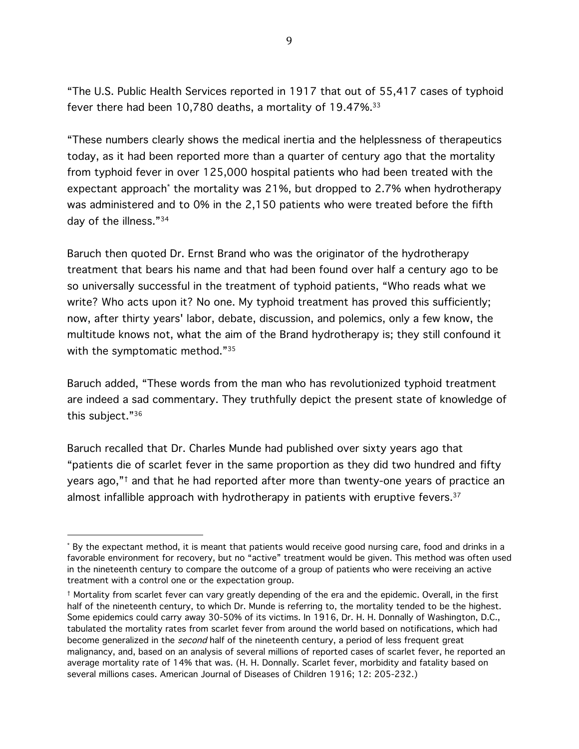"The U.S. Public Health Services reported in 1917 that out of 55,417 cases of typhoid fever there had been 10,780 deaths, a mortality of 19.47%.33

"These numbers clearly shows the medical inertia and the helplessness of therapeutics today, as it had been reported more than a quarter of century ago that the mortality from typhoid fever in over 125,000 hospital patients who had been treated with the expectant approach<sup>\*</sup> the mortality was 21%, but dropped to 2.7% when hydrotherapy was administered and to 0% in the 2,150 patients who were treated before the fifth day of the illness."34

Baruch then quoted Dr. Ernst Brand who was the originator of the hydrotherapy treatment that bears his name and that had been found over half a century ago to be so universally successful in the treatment of typhoid patients, "Who reads what we write? Who acts upon it? No one. My typhoid treatment has proved this sufficiently; now, after thirty years' labor, debate, discussion, and polemics, only a few know, the multitude knows not, what the aim of the Brand hydrotherapy is; they still confound it with the symptomatic method."<sup>35</sup>

Baruch added, "These words from the man who has revolutionized typhoid treatment are indeed a sad commentary. They truthfully depict the present state of knowledge of this subject."36

Baruch recalled that Dr. Charles Munde had published over sixty years ago that "patients die of scarlet fever in the same proportion as they did two hundred and fifty years ago,"<sup>†</sup> and that he had reported after more than twenty-one years of practice an almost infallible approach with hydrotherapy in patients with eruptive fevers. 37

<sup>\*</sup> By the expectant method, it is meant that patients would receive good nursing care, food and drinks in a favorable environment for recovery, but no "active" treatment would be given. This method was often used in the nineteenth century to compare the outcome of a group of patients who were receiving an active treatment with a control one or the expectation group.

<sup>†</sup> Mortality from scarlet fever can vary greatly depending of the era and the epidemic. Overall, in the first half of the nineteenth century, to which Dr. Munde is referring to, the mortality tended to be the highest. Some epidemics could carry away 30-50% of its victims. In 1916, Dr. H. H. Donnally of Washington, D.C., tabulated the mortality rates from scarlet fever from around the world based on notifications, which had become generalized in the *second* half of the nineteenth century, a period of less frequent great malignancy, and, based on an analysis of several millions of reported cases of scarlet fever, he reported an average mortality rate of 14% that was. (H. H. Donnally. Scarlet fever, morbidity and fatality based on several millions cases. American Journal of Diseases of Children 1916; 12: 205-232.)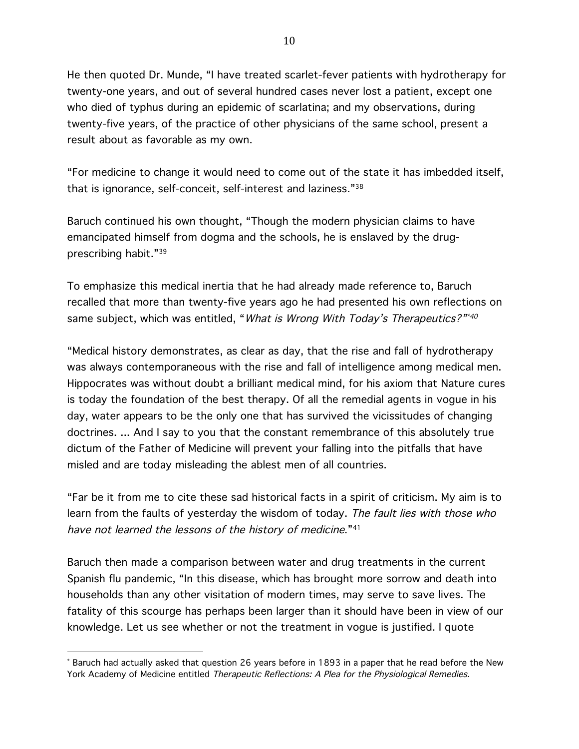He then quoted Dr. Munde, "I have treated scarlet-fever patients with hydrotherapy for twenty-one years, and out of several hundred cases never lost a patient, except one who died of typhus during an epidemic of scarlatina; and my observations, during twenty-five years, of the practice of other physicians of the same school, present a result about as favorable as my own.

"For medicine to change it would need to come out of the state it has imbedded itself, that is ignorance, self-conceit, self-interest and laziness."38

Baruch continued his own thought, "Though the modern physician claims to have emancipated himself from dogma and the schools, he is enslaved by the drugprescribing habit."39

To emphasize this medical inertia that he had already made reference to, Baruch recalled that more than twenty-five years ago he had presented his own reflections on same subject, which was entitled, "What is Wrong With Today's Therapeutics?"\*40

"Medical history demonstrates, as clear as day, that the rise and fall of hydrotherapy was always contemporaneous with the rise and fall of intelligence among medical men. Hippocrates was without doubt a brilliant medical mind, for his axiom that Nature cures is today the foundation of the best therapy. Of all the remedial agents in vogue in his day, water appears to be the only one that has survived the vicissitudes of changing doctrines. ... And I say to you that the constant remembrance of this absolutely true dictum of the Father of Medicine will prevent your falling into the pitfalls that have misled and are today misleading the ablest men of all countries.

"Far be it from me to cite these sad historical facts in a spirit of criticism. My aim is to learn from the faults of yesterday the wisdom of today. The fault lies with those who have not learned the lessons of the history of medicine."<sup>41</sup>

Baruch then made a comparison between water and drug treatments in the current Spanish flu pandemic, "In this disease, which has brought more sorrow and death into households than any other visitation of modern times, may serve to save lives. The fatality of this scourge has perhaps been larger than it should have been in view of our knowledge. Let us see whether or not the treatment in vogue is justified. I quote

<sup>\*</sup> Baruch had actually asked that question 26 years before in 1893 in a paper that he read before the New York Academy of Medicine entitled Therapeutic Reflections: A Plea for the Physiological Remedies.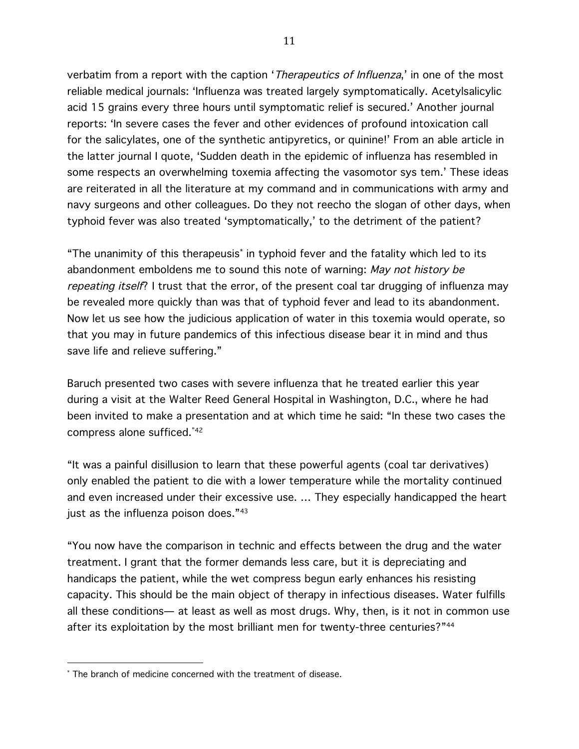verbatim from a report with the caption 'Therapeutics of Influenza,' in one of the most reliable medical journals: 'Influenza was treated largely symptomatically. Acetylsalicylic acid 15 grains every three hours until symptomatic relief is secured.' Another journal reports: 'In severe cases the fever and other evidences of profound intoxication call for the salicylates, one of the synthetic antipyretics, or quinine!' From an able article in the latter journal I quote, 'Sudden death in the epidemic of influenza has resembled in some respects an overwhelming toxemia affecting the vasomotor sys tem.' These ideas are reiterated in all the literature at my command and in communications with army and navy surgeons and other colleagues. Do they not reecho the slogan of other days, when typhoid fever was also treated 'symptomatically,' to the detriment of the patient?

"The unanimity of this therapeusis\* in typhoid fever and the fatality which led to its abandonment emboldens me to sound this note of warning: May not history be repeating itself? I trust that the error, of the present coal tar drugging of influenza may be revealed more quickly than was that of typhoid fever and lead to its abandonment. Now let us see how the judicious application of water in this toxemia would operate, so that you may in future pandemics of this infectious disease bear it in mind and thus save life and relieve suffering."

Baruch presented two cases with severe influenza that he treated earlier this year during a visit at the Walter Reed General Hospital in Washington, D.C., where he had been invited to make a presentation and at which time he said: "In these two cases the compress alone sufficed."42

"It was a painful disillusion to learn that these powerful agents (coal tar derivatives) only enabled the patient to die with a lower temperature while the mortality continued and even increased under their excessive use. … They especially handicapped the heart just as the influenza poison does."43

"You now have the comparison in technic and effects between the drug and the water treatment. I grant that the former demands less care, but it is depreciating and handicaps the patient, while the wet compress begun early enhances his resisting capacity. This should be the main object of therapy in infectious diseases. Water fulfills all these conditions— at least as well as most drugs. Why, then, is it not in common use after its exploitation by the most brilliant men for twenty-three centuries?"44

<sup>\*</sup> The branch of medicine concerned with the treatment of disease.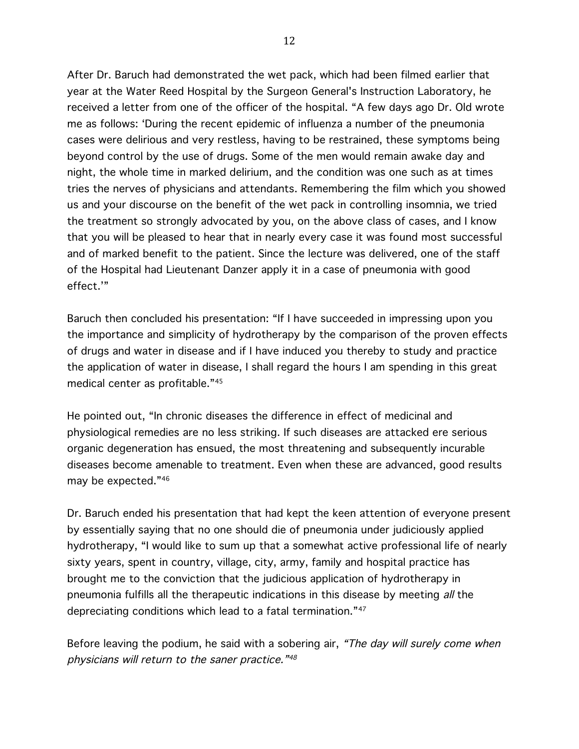After Dr. Baruch had demonstrated the wet pack, which had been filmed earlier that year at the Water Reed Hospital by the Surgeon General's Instruction Laboratory, he received a letter from one of the officer of the hospital. "A few days ago Dr. Old wrote me as follows: 'During the recent epidemic of influenza a number of the pneumonia cases were delirious and very restless, having to be restrained, these symptoms being beyond control by the use of drugs. Some of the men would remain awake day and night, the whole time in marked delirium, and the condition was one such as at times tries the nerves of physicians and attendants. Remembering the film which you showed us and your discourse on the benefit of the wet pack in controlling insomnia, we tried the treatment so strongly advocated by you, on the above class of cases, and I know that you will be pleased to hear that in nearly every case it was found most successful and of marked benefit to the patient. Since the lecture was delivered, one of the staff of the Hospital had Lieutenant Danzer apply it in a case of pneumonia with good effect.'"

Baruch then concluded his presentation: "If I have succeeded in impressing upon you the importance and simplicity of hydrotherapy by the comparison of the proven effects of drugs and water in disease and if I have induced you thereby to study and practice the application of water in disease, I shall regard the hours I am spending in this great medical center as profitable."45

He pointed out, "In chronic diseases the difference in effect of medicinal and physiological remedies are no less striking. If such diseases are attacked ere serious organic degeneration has ensued, the most threatening and subsequently incurable diseases become amenable to treatment. Even when these are advanced, good results may be expected."46

Dr. Baruch ended his presentation that had kept the keen attention of everyone present by essentially saying that no one should die of pneumonia under judiciously applied hydrotherapy, "I would like to sum up that a somewhat active professional life of nearly sixty years, spent in country, village, city, army, family and hospital practice has brought me to the conviction that the judicious application of hydrotherapy in pneumonia fulfills all the therapeutic indications in this disease by meeting all the depreciating conditions which lead to a fatal termination."47

Before leaving the podium, he said with a sobering air, "The day will surely come when physicians will return to the saner practice."48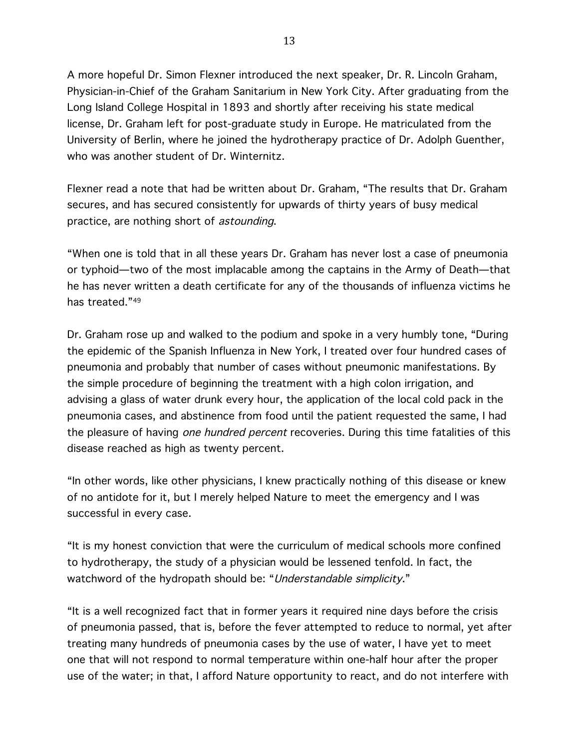A more hopeful Dr. Simon Flexner introduced the next speaker, Dr. R. Lincoln Graham, Physician-in-Chief of the Graham Sanitarium in New York City. After graduating from the Long Island College Hospital in 1893 and shortly after receiving his state medical license, Dr. Graham left for post-graduate study in Europe. He matriculated from the University of Berlin, where he joined the hydrotherapy practice of Dr. Adolph Guenther, who was another student of Dr. Winternitz.

Flexner read a note that had be written about Dr. Graham, "The results that Dr. Graham secures, and has secured consistently for upwards of thirty years of busy medical practice, are nothing short of astounding.

"When one is told that in all these years Dr. Graham has never lost a case of pneumonia or typhoid—two of the most implacable among the captains in the Army of Death—that he has never written a death certificate for any of the thousands of influenza victims he has treated."49

Dr. Graham rose up and walked to the podium and spoke in a very humbly tone, "During the epidemic of the Spanish Influenza in New York, I treated over four hundred cases of pneumonia and probably that number of cases without pneumonic manifestations. By the simple procedure of beginning the treatment with a high colon irrigation, and advising a glass of water drunk every hour, the application of the local cold pack in the pneumonia cases, and abstinence from food until the patient requested the same, I had the pleasure of having one hundred percent recoveries. During this time fatalities of this disease reached as high as twenty percent.

"In other words, like other physicians, I knew practically nothing of this disease or knew of no antidote for it, but I merely helped Nature to meet the emergency and I was successful in every case.

"It is my honest conviction that were the curriculum of medical schools more confined to hydrotherapy, the study of a physician would be lessened tenfold. In fact, the watchword of the hydropath should be: "Understandable simplicity."

"It is a well recognized fact that in former years it required nine days before the crisis of pneumonia passed, that is, before the fever attempted to reduce to normal, yet after treating many hundreds of pneumonia cases by the use of water, I have yet to meet one that will not respond to normal temperature within one-half hour after the proper use of the water; in that, I afford Nature opportunity to react, and do not interfere with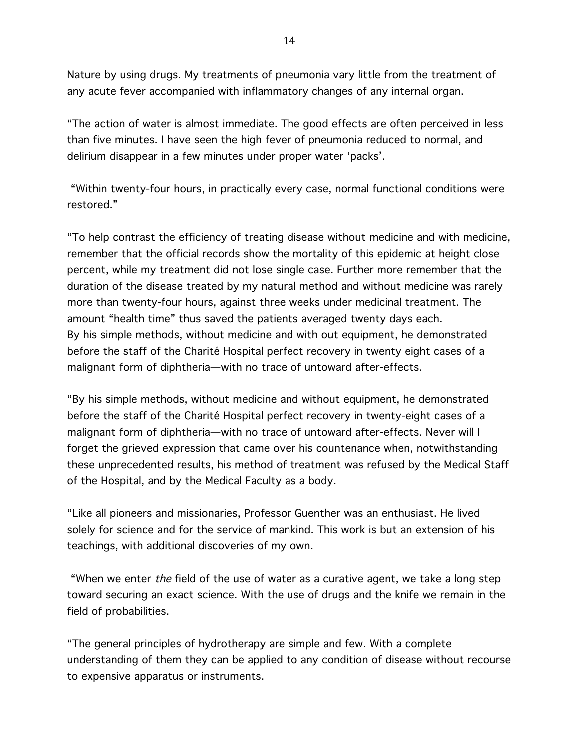Nature by using drugs. My treatments of pneumonia vary little from the treatment of any acute fever accompanied with inflammatory changes of any internal organ.

"The action of water is almost immediate. The good effects are often perceived in less than five minutes. I have seen the high fever of pneumonia reduced to normal, and delirium disappear in a few minutes under proper water 'packs'.

"Within twenty-four hours, in practically every case, normal functional conditions were restored."

"To help contrast the efficiency of treating disease without medicine and with medicine, remember that the official records show the mortality of this epidemic at height close percent, while my treatment did not lose single case. Further more remember that the duration of the disease treated by my natural method and without medicine was rarely more than twenty-four hours, against three weeks under medicinal treatment. The amount "health time" thus saved the patients averaged twenty days each. By his simple methods, without medicine and with out equipment, he demonstrated before the staff of the Charité Hospital perfect recovery in twenty eight cases of a malignant form of diphtheria—with no trace of untoward after-effects.

"By his simple methods, without medicine and without equipment, he demonstrated before the staff of the Charité Hospital perfect recovery in twenty-eight cases of a malignant form of diphtheria—with no trace of untoward after-effects. Never will I forget the grieved expression that came over his countenance when, notwithstanding these unprecedented results, his method of treatment was refused by the Medical Staff of the Hospital, and by the Medical Faculty as a body.

"Like all pioneers and missionaries, Professor Guenther was an enthusiast. He lived solely for science and for the service of mankind. This work is but an extension of his teachings, with additional discoveries of my own.

"When we enter the field of the use of water as a curative agent, we take a long step toward securing an exact science. With the use of drugs and the knife we remain in the field of probabilities.

"The general principles of hydrotherapy are simple and few. With a complete understanding of them they can be applied to any condition of disease without recourse to expensive apparatus or instruments.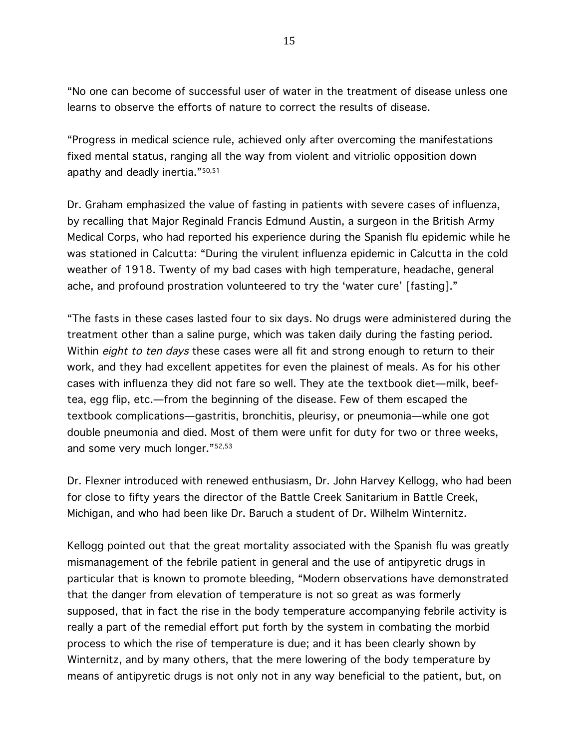"No one can become of successful user of water in the treatment of disease unless one learns to observe the efforts of nature to correct the results of disease.

"Progress in medical science rule, achieved only after overcoming the manifestations fixed mental status, ranging all the way from violent and vitriolic opposition down apathy and deadly inertia."50,51

Dr. Graham emphasized the value of fasting in patients with severe cases of influenza, by recalling that Major Reginald Francis Edmund Austin, a surgeon in the British Army Medical Corps, who had reported his experience during the Spanish flu epidemic while he was stationed in Calcutta: "During the virulent influenza epidemic in Calcutta in the cold weather of 1918. Twenty of my bad cases with high temperature, headache, general ache, and profound prostration volunteered to try the 'water cure' [fasting]."

"The fasts in these cases lasted four to six days. No drugs were administered during the treatment other than a saline purge, which was taken daily during the fasting period. Within *eight to ten days* these cases were all fit and strong enough to return to their work, and they had excellent appetites for even the plainest of meals. As for his other cases with influenza they did not fare so well. They ate the textbook diet—milk, beeftea, egg flip, etc.—from the beginning of the disease. Few of them escaped the textbook complications—gastritis, bronchitis, pleurisy, or pneumonia—while one got double pneumonia and died. Most of them were unfit for duty for two or three weeks, and some very much longer."52,53

Dr. Flexner introduced with renewed enthusiasm, Dr. John Harvey Kellogg, who had been for close to fifty years the director of the Battle Creek Sanitarium in Battle Creek, Michigan, and who had been like Dr. Baruch a student of Dr. Wilhelm Winternitz.

Kellogg pointed out that the great mortality associated with the Spanish flu was greatly mismanagement of the febrile patient in general and the use of antipyretic drugs in particular that is known to promote bleeding, "Modern observations have demonstrated that the danger from elevation of temperature is not so great as was formerly supposed, that in fact the rise in the body temperature accompanying febrile activity is really a part of the remedial effort put forth by the system in combating the morbid process to which the rise of temperature is due; and it has been clearly shown by Winternitz, and by many others, that the mere lowering of the body temperature by means of antipyretic drugs is not only not in any way beneficial to the patient, but, on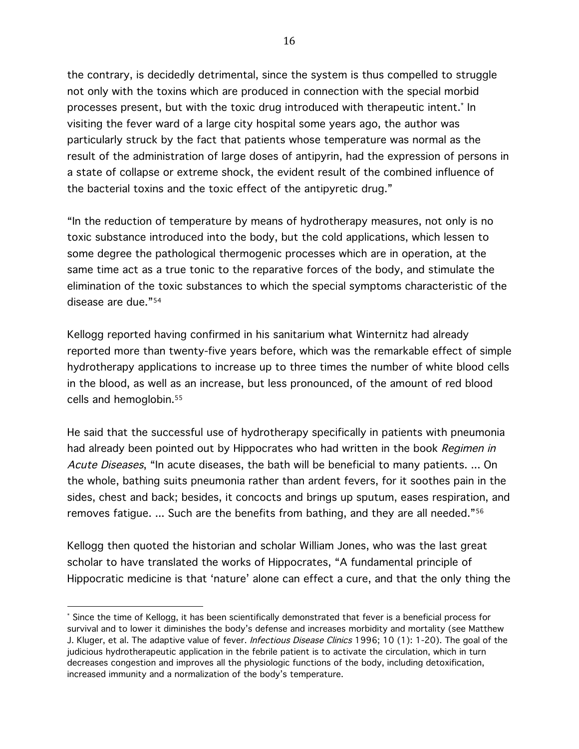the contrary, is decidedly detrimental, since the system is thus compelled to struggle not only with the toxins which are produced in connection with the special morbid processes present, but with the toxic drug introduced with therapeutic intent.\* In visiting the fever ward of a large city hospital some years ago, the author was particularly struck by the fact that patients whose temperature was normal as the result of the administration of large doses of antipyrin, had the expression of persons in a state of collapse or extreme shock, the evident result of the combined influence of the bacterial toxins and the toxic effect of the antipyretic drug."

"In the reduction of temperature by means of hydrotherapy measures, not only is no toxic substance introduced into the body, but the cold applications, which lessen to some degree the pathological thermogenic processes which are in operation, at the same time act as a true tonic to the reparative forces of the body, and stimulate the elimination of the toxic substances to which the special symptoms characteristic of the disease are due."54

Kellogg reported having confirmed in his sanitarium what Winternitz had already reported more than twenty-five years before, which was the remarkable effect of simple hydrotherapy applications to increase up to three times the number of white blood cells in the blood, as well as an increase, but less pronounced, of the amount of red blood cells and hemoglobin. 55

He said that the successful use of hydrotherapy specifically in patients with pneumonia had already been pointed out by Hippocrates who had written in the book Regimen in Acute Diseases, "In acute diseases, the bath will be beneficial to many patients. ... On the whole, bathing suits pneumonia rather than ardent fevers, for it soothes pain in the sides, chest and back; besides, it concocts and brings up sputum, eases respiration, and removes fatigue. ... Such are the benefits from bathing, and they are all needed."56

Kellogg then quoted the historian and scholar William Jones, who was the last great scholar to have translated the works of Hippocrates, "A fundamental principle of Hippocratic medicine is that 'nature' alone can effect a cure, and that the only thing the

<sup>\*</sup> Since the time of Kellogg, it has been scientifically demonstrated that fever is a beneficial process for survival and to lower it diminishes the body's defense and increases morbidity and mortality (see Matthew J. Kluger, et al. The adaptive value of fever. Infectious Disease Clinics 1996; 10 (1): 1-20). The goal of the judicious hydrotherapeutic application in the febrile patient is to activate the circulation, which in turn decreases congestion and improves all the physiologic functions of the body, including detoxification, increased immunity and a normalization of the body's temperature.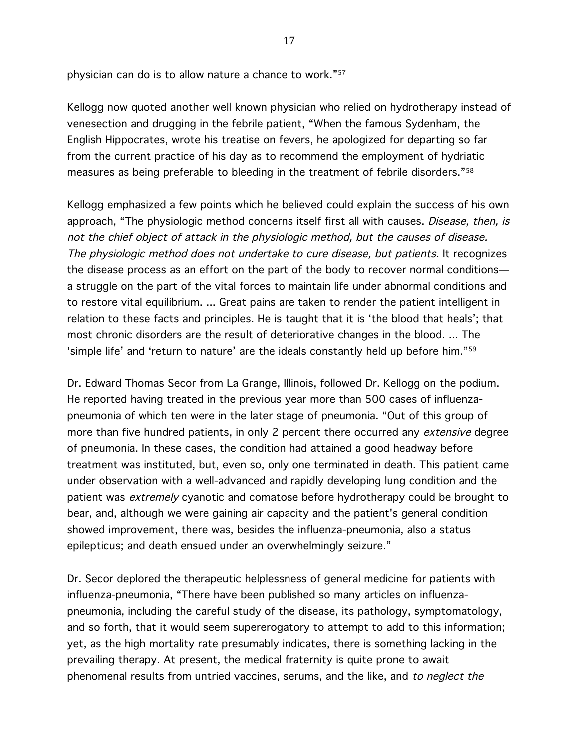physician can do is to allow nature a chance to work."57

Kellogg now quoted another well known physician who relied on hydrotherapy instead of venesection and drugging in the febrile patient, "When the famous Sydenham, the English Hippocrates, wrote his treatise on fevers, he apologized for departing so far from the current practice of his day as to recommend the employment of hydriatic measures as being preferable to bleeding in the treatment of febrile disorders."58

Kellogg emphasized a few points which he believed could explain the success of his own approach, "The physiologic method concerns itself first all with causes. *Disease, then, is* not the chief object of attack in the physiologic method, but the causes of disease. The physiologic method does not undertake to cure disease, but patients. It recognizes the disease process as an effort on the part of the body to recover normal conditions a struggle on the part of the vital forces to maintain life under abnormal conditions and to restore vital equilibrium. ... Great pains are taken to render the patient intelligent in relation to these facts and principles. He is taught that it is 'the blood that heals'; that most chronic disorders are the result of deteriorative changes in the blood. ... The 'simple life' and 'return to nature' are the ideals constantly held up before him."59

Dr. Edward Thomas Secor from La Grange, Illinois, followed Dr. Kellogg on the podium. He reported having treated in the previous year more than 500 cases of influenzapneumonia of which ten were in the later stage of pneumonia. "Out of this group of more than five hundred patients, in only 2 percent there occurred any extensive degree of pneumonia. In these cases, the condition had attained a good headway before treatment was instituted, but, even so, only one terminated in death. This patient came under observation with a well-advanced and rapidly developing lung condition and the patient was *extremely* cyanotic and comatose before hydrotherapy could be brought to bear, and, although we were gaining air capacity and the patient's general condition showed improvement, there was, besides the influenza-pneumonia, also a status epilepticus; and death ensued under an overwhelmingly seizure."

Dr. Secor deplored the therapeutic helplessness of general medicine for patients with influenza-pneumonia, "There have been published so many articles on influenzapneumonia, including the careful study of the disease, its pathology, symptomatology, and so forth, that it would seem supererogatory to attempt to add to this information; yet, as the high mortality rate presumably indicates, there is something lacking in the prevailing therapy. At present, the medical fraternity is quite prone to await phenomenal results from untried vaccines, serums, and the like, and to neglect the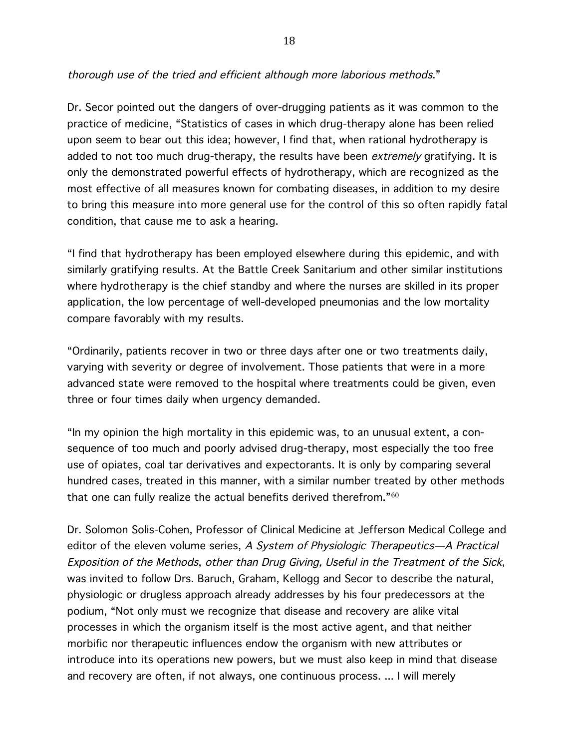## thorough use of the tried and efficient although more laborious methods."

Dr. Secor pointed out the dangers of over-drugging patients as it was common to the practice of medicine, "Statistics of cases in which drug-therapy alone has been relied upon seem to bear out this idea; however, I find that, when rational hydrotherapy is added to not too much drug-therapy, the results have been extremely gratifying. It is only the demonstrated powerful effects of hydrotherapy, which are recognized as the most effective of all measures known for combating diseases, in addition to my desire to bring this measure into more general use for the control of this so often rapidly fatal condition, that cause me to ask a hearing.

"I find that hydrotherapy has been employed elsewhere during this epidemic, and with similarly gratifying results. At the Battle Creek Sanitarium and other similar institutions where hydrotherapy is the chief standby and where the nurses are skilled in its proper application, the low percentage of well-developed pneumonias and the low mortality compare favorably with my results.

"Ordinarily, patients recover in two or three days after one or two treatments daily, varying with severity or degree of involvement. Those patients that were in a more advanced state were removed to the hospital where treatments could be given, even three or four times daily when urgency demanded.

"In my opinion the high mortality in this epidemic was, to an unusual extent, a consequence of too much and poorly advised drug-therapy, most especially the too free use of opiates, coal tar derivatives and expectorants. It is only by comparing several hundred cases, treated in this manner, with a similar number treated by other methods that one can fully realize the actual benefits derived therefrom."60

Dr. Solomon Solis-Cohen, Professor of Clinical Medicine at Jefferson Medical College and editor of the eleven volume series, A System of Physiologic Therapeutics—A Practical Exposition of the Methods, other than Drug Giving, Useful in the Treatment of the Sick, was invited to follow Drs. Baruch, Graham, Kellogg and Secor to describe the natural, physiologic or drugless approach already addresses by his four predecessors at the podium, "Not only must we recognize that disease and recovery are alike vital processes in which the organism itself is the most active agent, and that neither morbific nor therapeutic influences endow the organism with new attributes or introduce into its operations new powers, but we must also keep in mind that disease and recovery are often, if not always, one continuous process. ... I will merely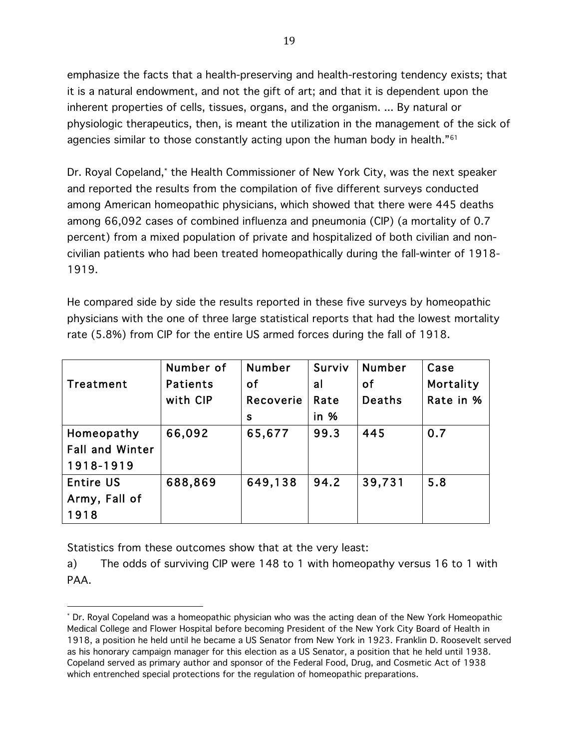emphasize the facts that a health-preserving and health-restoring tendency exists; that it is a natural endowment, and not the gift of art; and that it is dependent upon the inherent properties of cells, tissues, organs, and the organism. ... By natural or physiologic therapeutics, then, is meant the utilization in the management of the sick of agencies similar to those constantly acting upon the human body in health.<sup>"61</sup>

Dr. Royal Copeland,\* the Health Commissioner of New York City, was the next speaker and reported the results from the compilation of five different surveys conducted among American homeopathic physicians, which showed that there were 445 deaths among 66,092 cases of combined influenza and pneumonia (CIP) (a mortality of 0.7 percent) from a mixed population of private and hospitalized of both civilian and noncivilian patients who had been treated homeopathically during the fall-winter of 1918- 1919.

He compared side by side the results reported in these five surveys by homeopathic physicians with the one of three large statistical reports that had the lowest mortality rate (5.8%) from CIP for the entire US armed forces during the fall of 1918.

|                        | Number of       | <b>Number</b> | Surviv | <b>Number</b> | Case      |
|------------------------|-----------------|---------------|--------|---------------|-----------|
| Treatment              | <b>Patients</b> | οf            | al     | <b>of</b>     | Mortality |
|                        | with CIP        | Recoverie     | Rate   | Deaths        | Rate in % |
|                        |                 | S             | in $%$ |               |           |
| Homeopathy             | 66,092          | 65,677        | 99.3   | 445           | 0.7       |
| <b>Fall and Winter</b> |                 |               |        |               |           |
| 1918-1919              |                 |               |        |               |           |
| <b>Entire US</b>       | 688,869         | 649,138       | 94.2   | 39,731        | 5.8       |
| Army, Fall of          |                 |               |        |               |           |
| 1918                   |                 |               |        |               |           |

Statistics from these outcomes show that at the very least:

a) The odds of surviving CIP were 148 to 1 with homeopathy versus 16 to 1 with PAA.

 \* Dr. Royal Copeland was a homeopathic physician who was the acting dean of the New York Homeopathic Medical College and Flower Hospital before becoming President of the New York City Board of Health in 1918, a position he held until he became a US Senator from New York in 1923. Franklin D. Roosevelt served as his honorary campaign manager for this election as a US Senator, a position that he held until 1938. Copeland served as primary author and sponsor of the Federal Food, Drug, and Cosmetic Act of 1938 which entrenched special protections for the regulation of homeopathic preparations.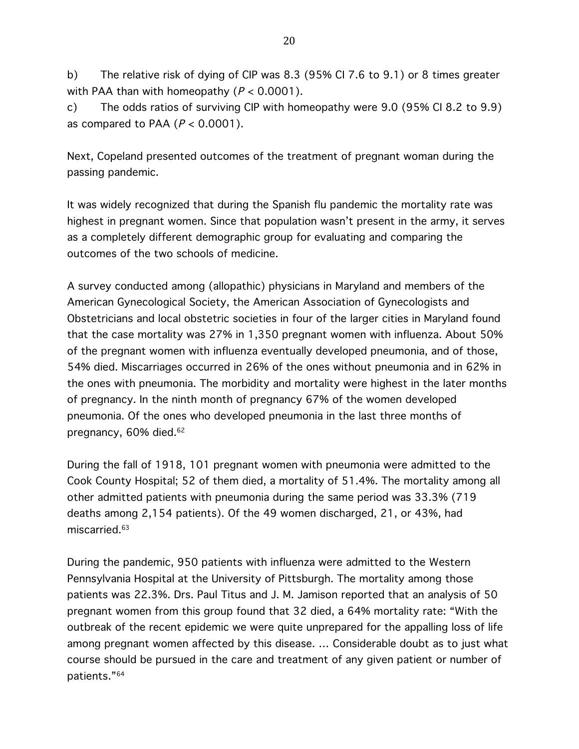b) The relative risk of dying of CIP was 8.3 (95% CI 7.6 to 9.1) or 8 times greater with PAA than with homeopathy ( $P < 0.0001$ ).

c) The odds ratios of surviving CIP with homeopathy were 9.0 (95% CI 8.2 to 9.9) as compared to PAA ( $P < 0.0001$ ).

Next, Copeland presented outcomes of the treatment of pregnant woman during the passing pandemic.

It was widely recognized that during the Spanish flu pandemic the mortality rate was highest in pregnant women. Since that population wasn't present in the army, it serves as a completely different demographic group for evaluating and comparing the outcomes of the two schools of medicine.

A survey conducted among (allopathic) physicians in Maryland and members of the American Gynecological Society, the American Association of Gynecologists and Obstetricians and local obstetric societies in four of the larger cities in Maryland found that the case mortality was 27% in 1,350 pregnant women with influenza. About 50% of the pregnant women with influenza eventually developed pneumonia, and of those, 54% died. Miscarriages occurred in 26% of the ones without pneumonia and in 62% in the ones with pneumonia. The morbidity and mortality were highest in the later months of pregnancy. In the ninth month of pregnancy 67% of the women developed pneumonia. Of the ones who developed pneumonia in the last three months of pregnancy, 60% died.<sup>62</sup>

During the fall of 1918, 101 pregnant women with pneumonia were admitted to the Cook County Hospital; 52 of them died, a mortality of 51.4%. The mortality among all other admitted patients with pneumonia during the same period was 33.3% (719 deaths among 2,154 patients). Of the 49 women discharged, 21, or 43%, had miscarried.63

During the pandemic, 950 patients with influenza were admitted to the Western Pennsylvania Hospital at the University of Pittsburgh. The mortality among those patients was 22.3%. Drs. Paul Titus and J. M. Jamison reported that an analysis of 50 pregnant women from this group found that 32 died, a 64% mortality rate: "With the outbreak of the recent epidemic we were quite unprepared for the appalling loss of life among pregnant women affected by this disease. … Considerable doubt as to just what course should be pursued in the care and treatment of any given patient or number of patients."64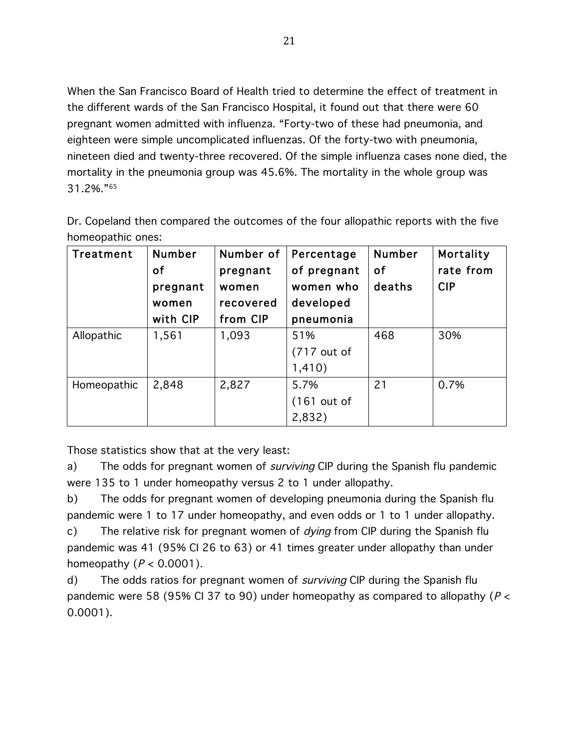When the San Francisco Board of Health tried to determine the effect of treatment in the different wards of the San Francisco Hospital, it found out that there were 60 pregnant women admitted with influenza. "Forty-two of these had pneumonia, and eighteen were simple uncomplicated influenzas. Of the forty-two with pneumonia, nineteen died and twenty-three recovered. Of the simple influenza cases none died, the mortality in the pneumonia group was 45.6%. The mortality in the whole group was 31.2%."65

Dr. Copeland then compared the outcomes of the four allopathic reports with the five homeopathic ones:

| Treatment   | <b>Number</b> | Number of | Percentage             | <b>Number</b> | Mortality  |
|-------------|---------------|-----------|------------------------|---------------|------------|
|             | οf            | pregnant  | of pregnant            | οf            | rate from  |
|             | pregnant      | women     | women who              | deaths        | <b>CIP</b> |
|             | women         | recovered | developed              |               |            |
|             | with CIP      | from CIP  | pneumonia              |               |            |
| Allopathic  | 1,561         | 1,093     | 51%                    | 468           | 30%        |
|             |               |           | $(717 \text{ out of})$ |               |            |
|             |               |           | 1,410)                 |               |            |
| Homeopathic | 2,848         | 2,827     | 5.7%                   | 21            | 0.7%       |
|             |               |           | $(161$ out of          |               |            |
|             |               |           | 2,832)                 |               |            |

Those statistics show that at the very least:

a) The odds for pregnant women of *surviving* CIP during the Spanish flu pandemic were 135 to 1 under homeopathy versus 2 to 1 under allopathy.

b) The odds for pregnant women of developing pneumonia during the Spanish flu pandemic were 1 to 17 under homeopathy, and even odds or 1 to 1 under allopathy.

c) The relative risk for pregnant women of *dying* from CIP during the Spanish flu pandemic was 41 (95% CI 26 to 63) or 41 times greater under allopathy than under homeopathy ( $P < 0.0001$ ).

d) The odds ratios for pregnant women of *surviving* CIP during the Spanish flu pandemic were 58 (95% CI 37 to 90) under homeopathy as compared to allopathy ( $P \lt \theta$ 0.0001).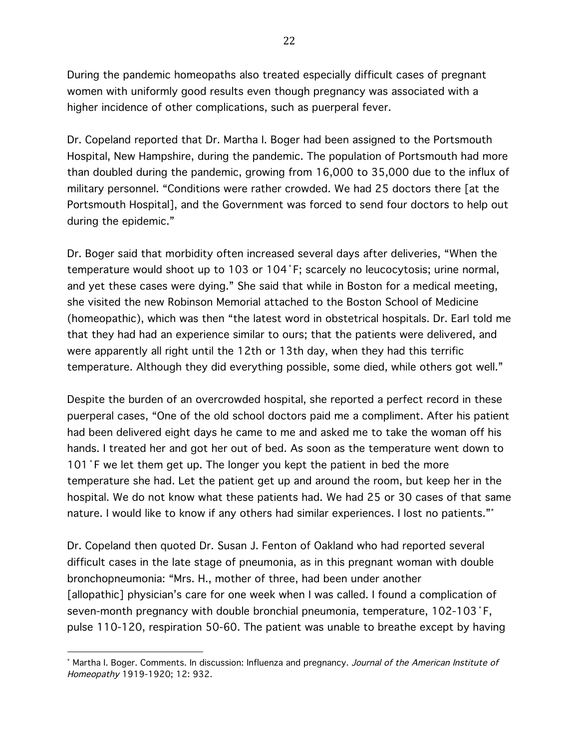During the pandemic homeopaths also treated especially difficult cases of pregnant women with uniformly good results even though pregnancy was associated with a higher incidence of other complications, such as puerperal fever.

Dr. Copeland reported that Dr. Martha I. Boger had been assigned to the Portsmouth Hospital, New Hampshire, during the pandemic. The population of Portsmouth had more than doubled during the pandemic, growing from 16,000 to 35,000 due to the influx of military personnel. "Conditions were rather crowded. We had 25 doctors there [at the Portsmouth Hospital], and the Government was forced to send four doctors to help out during the epidemic."

Dr. Boger said that morbidity often increased several days after deliveries, "When the temperature would shoot up to 103 or 104˚F; scarcely no leucocytosis; urine normal, and yet these cases were dying." She said that while in Boston for a medical meeting, she visited the new Robinson Memorial attached to the Boston School of Medicine (homeopathic), which was then "the latest word in obstetrical hospitals. Dr. Earl told me that they had had an experience similar to ours; that the patients were delivered, and were apparently all right until the 12th or 13th day, when they had this terrific temperature. Although they did everything possible, some died, while others got well."

Despite the burden of an overcrowded hospital, she reported a perfect record in these puerperal cases, "One of the old school doctors paid me a compliment. After his patient had been delivered eight days he came to me and asked me to take the woman off his hands. I treated her and got her out of bed. As soon as the temperature went down to 101°F we let them get up. The longer you kept the patient in bed the more temperature she had. Let the patient get up and around the room, but keep her in the hospital. We do not know what these patients had. We had 25 or 30 cases of that same nature. I would like to know if any others had similar experiences. I lost no patients."\*

Dr. Copeland then quoted Dr. Susan J. Fenton of Oakland who had reported several difficult cases in the late stage of pneumonia, as in this pregnant woman with double bronchopneumonia: "Mrs. H., mother of three, had been under another [allopathic] physician's care for one week when I was called. I found a complication of seven-month pregnancy with double bronchial pneumonia, temperature, 102-103˚F, pulse 110-120, respiration 50-60. The patient was unable to breathe except by having

<sup>\*</sup> Martha I. Boger. Comments. In discussion: Influenza and pregnancy. Journal of the American Institute of Homeopathy 1919-1920; 12: 932.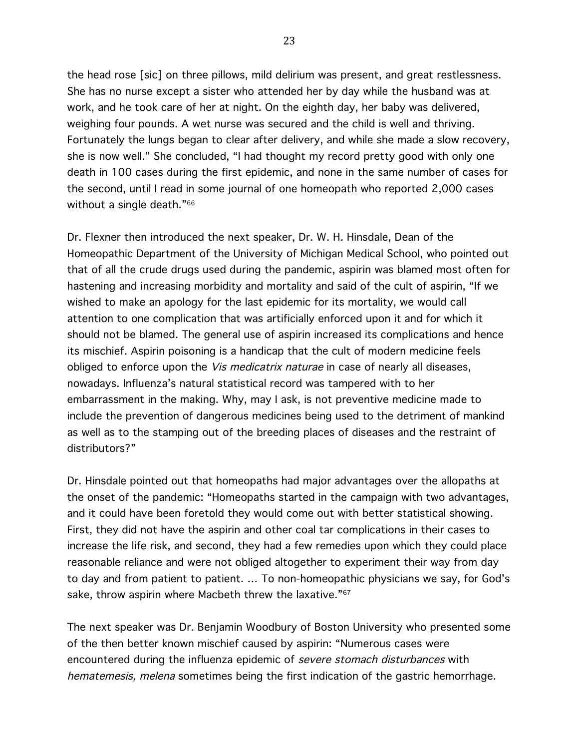the head rose [sic] on three pillows, mild delirium was present, and great restlessness. She has no nurse except a sister who attended her by day while the husband was at work, and he took care of her at night. On the eighth day, her baby was delivered, weighing four pounds. A wet nurse was secured and the child is well and thriving. Fortunately the lungs began to clear after delivery, and while she made a slow recovery, she is now well." She concluded, "I had thought my record pretty good with only one death in 100 cases during the first epidemic, and none in the same number of cases for the second, until I read in some journal of one homeopath who reported 2,000 cases without a single death."<sup>66</sup>

Dr. Flexner then introduced the next speaker, Dr. W. H. Hinsdale, Dean of the Homeopathic Department of the University of Michigan Medical School, who pointed out that of all the crude drugs used during the pandemic, aspirin was blamed most often for hastening and increasing morbidity and mortality and said of the cult of aspirin, "If we wished to make an apology for the last epidemic for its mortality, we would call attention to one complication that was artificially enforced upon it and for which it should not be blamed. The general use of aspirin increased its complications and hence its mischief. Aspirin poisoning is a handicap that the cult of modern medicine feels obliged to enforce upon the Vis medicatrix naturae in case of nearly all diseases, nowadays. Influenza's natural statistical record was tampered with to her embarrassment in the making. Why, may I ask, is not preventive medicine made to include the prevention of dangerous medicines being used to the detriment of mankind as well as to the stamping out of the breeding places of diseases and the restraint of distributors?"

Dr. Hinsdale pointed out that homeopaths had major advantages over the allopaths at the onset of the pandemic: "Homeopaths started in the campaign with two advantages, and it could have been foretold they would come out with better statistical showing. First, they did not have the aspirin and other coal tar complications in their cases to increase the life risk, and second, they had a few remedies upon which they could place reasonable reliance and were not obliged altogether to experiment their way from day to day and from patient to patient. … To non-homeopathic physicians we say, for God's sake, throw aspirin where Macbeth threw the laxative."<sup>67</sup>

The next speaker was Dr. Benjamin Woodbury of Boston University who presented some of the then better known mischief caused by aspirin: "Numerous cases were encountered during the influenza epidemic of severe stomach disturbances with hematemesis, melena sometimes being the first indication of the gastric hemorrhage.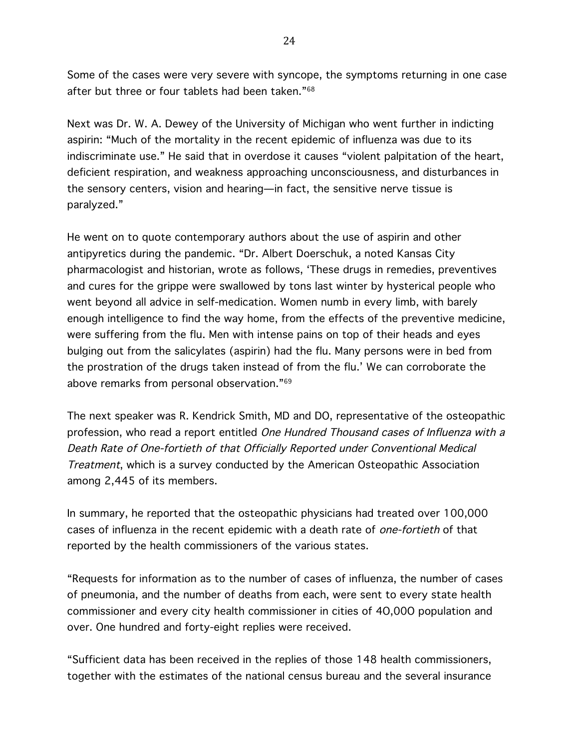Some of the cases were very severe with syncope, the symptoms returning in one case after but three or four tablets had been taken."68

Next was Dr. W. A. Dewey of the University of Michigan who went further in indicting aspirin: "Much of the mortality in the recent epidemic of influenza was due to its indiscriminate use." He said that in overdose it causes "violent palpitation of the heart, deficient respiration, and weakness approaching unconsciousness, and disturbances in the sensory centers, vision and hearing—in fact, the sensitive nerve tissue is paralyzed."

He went on to quote contemporary authors about the use of aspirin and other antipyretics during the pandemic. "Dr. Albert Doerschuk, a noted Kansas City pharmacologist and historian, wrote as follows, 'These drugs in remedies, preventives and cures for the grippe were swallowed by tons last winter by hysterical people who went beyond all advice in self-medication. Women numb in every limb, with barely enough intelligence to find the way home, from the effects of the preventive medicine, were suffering from the flu. Men with intense pains on top of their heads and eyes bulging out from the salicylates (aspirin) had the flu. Many persons were in bed from the prostration of the drugs taken instead of from the flu.' We can corroborate the above remarks from personal observation."69

The next speaker was R. Kendrick Smith, MD and DO, representative of the osteopathic profession, who read a report entitled One Hundred Thousand cases of Influenza with a Death Rate of One-fortieth of that Officially Reported under Conventional Medical Treatment, which is a survey conducted by the American Osteopathic Association among 2,445 of its members.

In summary, he reported that the osteopathic physicians had treated over 100,000 cases of influenza in the recent epidemic with a death rate of one-fortieth of that reported by the health commissioners of the various states.

"Requests for information as to the number of cases of influenza, the number of cases of pneumonia, and the number of deaths from each, were sent to every state health commissioner and every city health commissioner in cities of 4O,00O population and over. One hundred and forty-eight replies were received.

"Sufficient data has been received in the replies of those 148 health commissioners, together with the estimates of the national census bureau and the several insurance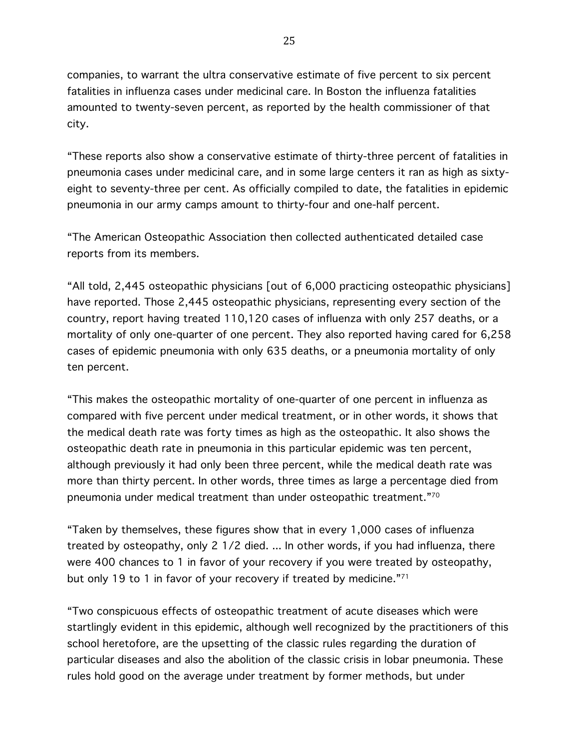companies, to warrant the ultra conservative estimate of five percent to six percent fatalities in influenza cases under medicinal care. In Boston the influenza fatalities amounted to twenty-seven percent, as reported by the health commissioner of that city.

"These reports also show a conservative estimate of thirty-three percent of fatalities in pneumonia cases under medicinal care, and in some large centers it ran as high as sixtyeight to seventy-three per cent. As officially compiled to date, the fatalities in epidemic pneumonia in our army camps amount to thirty-four and one-half percent.

"The American Osteopathic Association then collected authenticated detailed case reports from its members.

"All told, 2,445 osteopathic physicians [out of 6,000 practicing osteopathic physicians] have reported. Those 2,445 osteopathic physicians, representing every section of the country, report having treated 110,120 cases of influenza with only 257 deaths, or a mortality of only one-quarter of one percent. They also reported having cared for 6,258 cases of epidemic pneumonia with only 635 deaths, or a pneumonia mortality of only ten percent.

"This makes the osteopathic mortality of one-quarter of one percent in influenza as compared with five percent under medical treatment, or in other words, it shows that the medical death rate was forty times as high as the osteopathic. It also shows the osteopathic death rate in pneumonia in this particular epidemic was ten percent, although previously it had only been three percent, while the medical death rate was more than thirty percent. In other words, three times as large a percentage died from pneumonia under medical treatment than under osteopathic treatment."70

"Taken by themselves, these figures show that in every 1,000 cases of influenza treated by osteopathy, only 2 1/2 died. ... In other words, if you had influenza, there were 400 chances to 1 in favor of your recovery if you were treated by osteopathy, but only 19 to 1 in favor of your recovery if treated by medicine."<sup>71</sup>

"Two conspicuous effects of osteopathic treatment of acute diseases which were startlingly evident in this epidemic, although well recognized by the practitioners of this school heretofore, are the upsetting of the classic rules regarding the duration of particular diseases and also the abolition of the classic crisis in lobar pneumonia. These rules hold good on the average under treatment by former methods, but under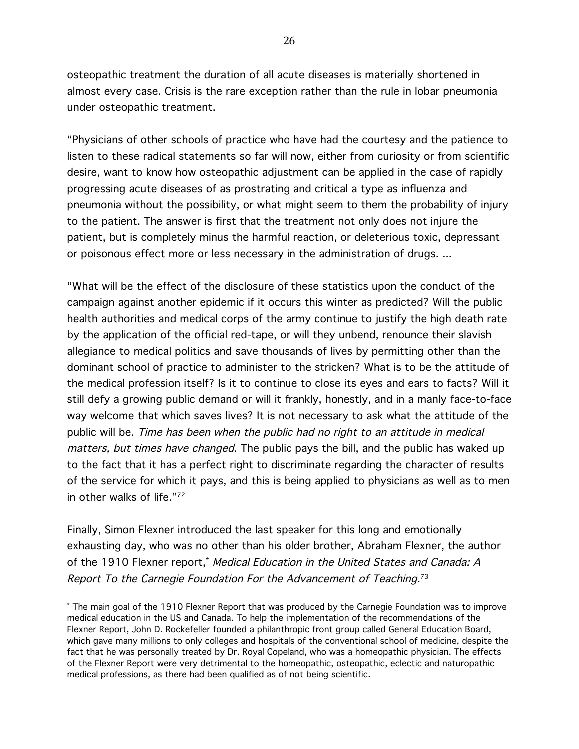osteopathic treatment the duration of all acute diseases is materially shortened in almost every case. Crisis is the rare exception rather than the rule in lobar pneumonia under osteopathic treatment.

"Physicians of other schools of practice who have had the courtesy and the patience to listen to these radical statements so far will now, either from curiosity or from scientific desire, want to know how osteopathic adjustment can be applied in the case of rapidly progressing acute diseases of as prostrating and critical a type as influenza and pneumonia without the possibility, or what might seem to them the probability of injury to the patient. The answer is first that the treatment not only does not injure the patient, but is completely minus the harmful reaction, or deleterious toxic, depressant or poisonous effect more or less necessary in the administration of drugs. ...

"What will be the effect of the disclosure of these statistics upon the conduct of the campaign against another epidemic if it occurs this winter as predicted? Will the public health authorities and medical corps of the army continue to justify the high death rate by the application of the official red-tape, or will they unbend, renounce their slavish allegiance to medical politics and save thousands of lives by permitting other than the dominant school of practice to administer to the stricken? What is to be the attitude of the medical profession itself? Is it to continue to close its eyes and ears to facts? Will it still defy a growing public demand or will it frankly, honestly, and in a manly face-to-face way welcome that which saves lives? It is not necessary to ask what the attitude of the public will be. Time has been when the public had no right to an attitude in medical matters, but times have changed. The public pays the bill, and the public has waked up to the fact that it has a perfect right to discriminate regarding the character of results of the service for which it pays, and this is being applied to physicians as well as to men in other walks of life."72

Finally, Simon Flexner introduced the last speaker for this long and emotionally exhausting day, who was no other than his older brother, Abraham Flexner, the author of the 1910 Flexner report,\* *Medical Education in the United States and Canada: A* Report To the Carnegie Foundation For the Advancement of Teaching. 73

<sup>\*</sup> The main goal of the 1910 Flexner Report that was produced by the Carnegie Foundation was to improve medical education in the US and Canada. To help the implementation of the recommendations of the Flexner Report, John D. Rockefeller founded a philanthropic front group called General Education Board, which gave many millions to only colleges and hospitals of the conventional school of medicine, despite the fact that he was personally treated by Dr. Royal Copeland, who was a homeopathic physician. The effects of the Flexner Report were very detrimental to the homeopathic, osteopathic, eclectic and naturopathic medical professions, as there had been qualified as of not being scientific.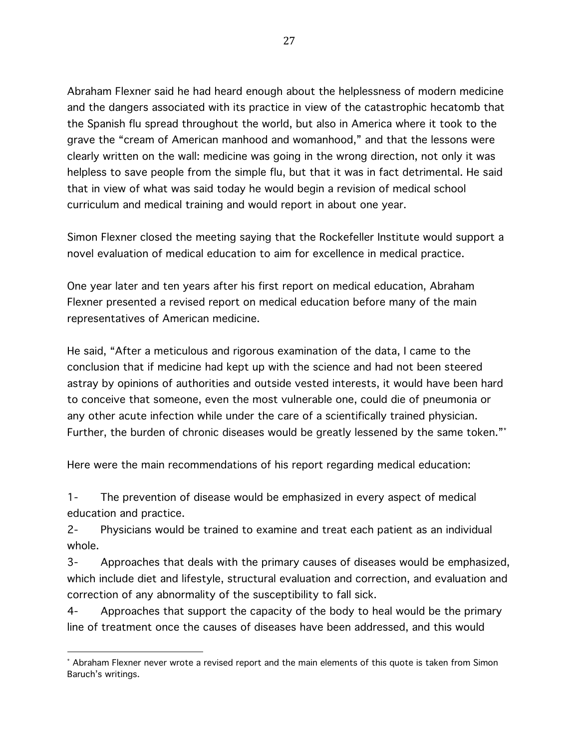Abraham Flexner said he had heard enough about the helplessness of modern medicine and the dangers associated with its practice in view of the catastrophic hecatomb that the Spanish flu spread throughout the world, but also in America where it took to the grave the "cream of American manhood and womanhood," and that the lessons were clearly written on the wall: medicine was going in the wrong direction, not only it was helpless to save people from the simple flu, but that it was in fact detrimental. He said that in view of what was said today he would begin a revision of medical school curriculum and medical training and would report in about one year.

Simon Flexner closed the meeting saying that the Rockefeller Institute would support a novel evaluation of medical education to aim for excellence in medical practice.

One year later and ten years after his first report on medical education, Abraham Flexner presented a revised report on medical education before many of the main representatives of American medicine.

He said, "After a meticulous and rigorous examination of the data, I came to the conclusion that if medicine had kept up with the science and had not been steered astray by opinions of authorities and outside vested interests, it would have been hard to conceive that someone, even the most vulnerable one, could die of pneumonia or any other acute infection while under the care of a scientifically trained physician. Further, the burden of chronic diseases would be greatly lessened by the same token."\*

Here were the main recommendations of his report regarding medical education:

1- The prevention of disease would be emphasized in every aspect of medical education and practice.

2- Physicians would be trained to examine and treat each patient as an individual whole.

3- Approaches that deals with the primary causes of diseases would be emphasized, which include diet and lifestyle, structural evaluation and correction, and evaluation and correction of any abnormality of the susceptibility to fall sick.

4- Approaches that support the capacity of the body to heal would be the primary line of treatment once the causes of diseases have been addressed, and this would

<sup>\*</sup> Abraham Flexner never wrote a revised report and the main elements of this quote is taken from Simon Baruch's writings.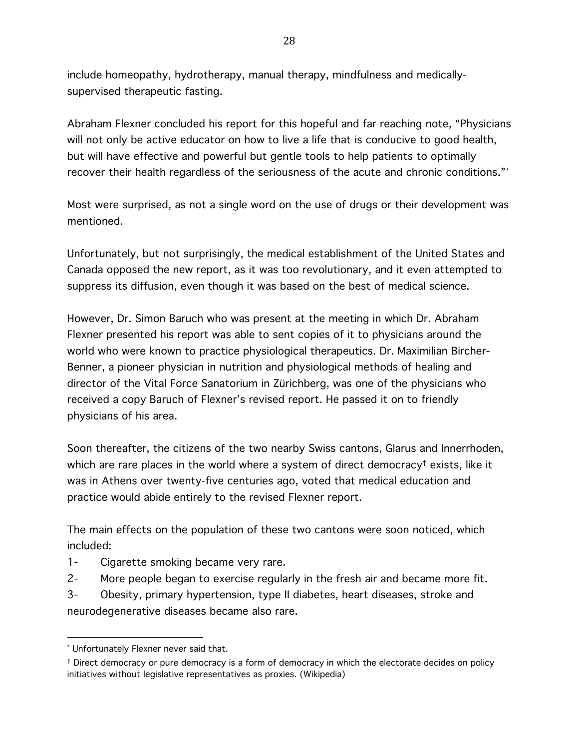include homeopathy, hydrotherapy, manual therapy, mindfulness and medicallysupervised therapeutic fasting.

Abraham Flexner concluded his report for this hopeful and far reaching note, "Physicians will not only be active educator on how to live a life that is conducive to good health, but will have effective and powerful but gentle tools to help patients to optimally recover their health regardless of the seriousness of the acute and chronic conditions."\*

Most were surprised, as not a single word on the use of drugs or their development was mentioned.

Unfortunately, but not surprisingly, the medical establishment of the United States and Canada opposed the new report, as it was too revolutionary, and it even attempted to suppress its diffusion, even though it was based on the best of medical science.

However, Dr. Simon Baruch who was present at the meeting in which Dr. Abraham Flexner presented his report was able to sent copies of it to physicians around the world who were known to practice physiological therapeutics. Dr. Maximilian Bircher-Benner, a pioneer physician in nutrition and physiological methods of healing and director of the Vital Force Sanatorium in Zürichberg, was one of the physicians who received a copy Baruch of Flexner's revised report. He passed it on to friendly physicians of his area.

Soon thereafter, the citizens of the two nearby Swiss cantons, Glarus and Innerrhoden, which are rare places in the world where a system of direct democracy<sup>†</sup> exists, like it was in Athens over twenty-five centuries ago, voted that medical education and practice would abide entirely to the revised Flexner report.

The main effects on the population of these two cantons were soon noticed, which included:

- 1- Cigarette smoking became very rare.
- 2- More people began to exercise regularly in the fresh air and became more fit.

3- Obesity, primary hypertension, type II diabetes, heart diseases, stroke and neurodegenerative diseases became also rare.

<sup>\*</sup> Unfortunately Flexner never said that.

<sup>†</sup> Direct democracy or pure democracy is a form of democracy in which the electorate decides on policy initiatives without legislative representatives as proxies. (Wikipedia)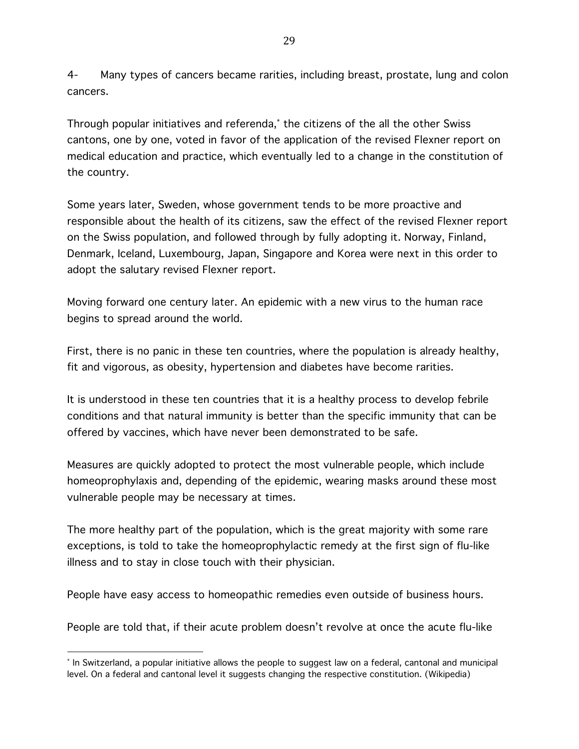4- Many types of cancers became rarities, including breast, prostate, lung and colon cancers.

Through popular initiatives and referenda, \* the citizens of the all the other Swiss cantons, one by one, voted in favor of the application of the revised Flexner report on medical education and practice, which eventually led to a change in the constitution of the country.

Some years later, Sweden, whose government tends to be more proactive and responsible about the health of its citizens, saw the effect of the revised Flexner report on the Swiss population, and followed through by fully adopting it. Norway, Finland, Denmark, Iceland, Luxembourg, Japan, Singapore and Korea were next in this order to adopt the salutary revised Flexner report.

Moving forward one century later. An epidemic with a new virus to the human race begins to spread around the world.

First, there is no panic in these ten countries, where the population is already healthy, fit and vigorous, as obesity, hypertension and diabetes have become rarities.

It is understood in these ten countries that it is a healthy process to develop febrile conditions and that natural immunity is better than the specific immunity that can be offered by vaccines, which have never been demonstrated to be safe.

Measures are quickly adopted to protect the most vulnerable people, which include homeoprophylaxis and, depending of the epidemic, wearing masks around these most vulnerable people may be necessary at times.

The more healthy part of the population, which is the great majority with some rare exceptions, is told to take the homeoprophylactic remedy at the first sign of flu-like illness and to stay in close touch with their physician.

People have easy access to homeopathic remedies even outside of business hours.

People are told that, if their acute problem doesn't revolve at once the acute flu-like

<sup>\*</sup> In Switzerland, a popular initiative allows the people to suggest law on a federal, cantonal and municipal level. On a federal and cantonal level it suggests changing the respective constitution. (Wikipedia)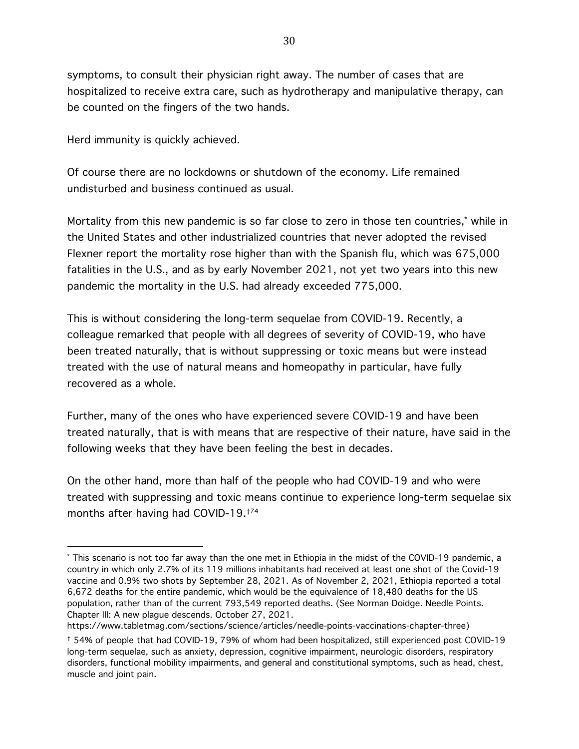symptoms, to consult their physician right away. The number of cases that are hospitalized to receive extra care, such as hydrotherapy and manipulative therapy, can be counted on the fingers of the two hands.

Herd immunity is quickly achieved.

 

Of course there are no lockdowns or shutdown of the economy. Life remained undisturbed and business continued as usual.

Mortality from this new pandemic is so far close to zero in those ten countries, \* while in the United States and other industrialized countries that never adopted the revised Flexner report the mortality rose higher than with the Spanish flu, which was 675,000 fatalities in the U.S., and as by early November 2021, not yet two years into this new pandemic the mortality in the U.S. had already exceeded 775,000.

This is without considering the long-term sequelae from COVID-19. Recently, a colleague remarked that people with all degrees of severity of COVID-19, who have been treated naturally, that is without suppressing or toxic means but were instead treated with the use of natural means and homeopathy in particular, have fully recovered as a whole.

Further, many of the ones who have experienced severe COVID-19 and have been treated naturally, that is with means that are respective of their nature, have said in the following weeks that they have been feeling the best in decades.

On the other hand, more than half of the people who had COVID-19 and who were treated with suppressing and toxic means continue to experience long-term sequelae six months after having had COVID-19.†74

https://www.tabletmag.com/sections/science/articles/needle-points-vaccinations-chapter-three)

<sup>\*</sup> This scenario is not too far away than the one met in Ethiopia in the midst of the COVID-19 pandemic, a country in which only 2.7% of its 119 millions inhabitants had received at least one shot of the Covid-19 vaccine and 0.9% two shots by September 28, 2021. As of November 2, 2021, Ethiopia reported a total 6,672 deaths for the entire pandemic, which would be the equivalence of 18,480 deaths for the US population, rather than of the current 793,549 reported deaths. (See Norman Doidge. Needle Points. Chapter III: A new plague descends. October 27, 2021.

<sup>†</sup> 54% of people that had COVID-19, 79% of whom had been hospitalized, still experienced post COVID-19 long-term sequelae, such as anxiety, depression, cognitive impairment, neurologic disorders, respiratory disorders, functional mobility impairments, and general and constitutional symptoms, such as head, chest, muscle and joint pain.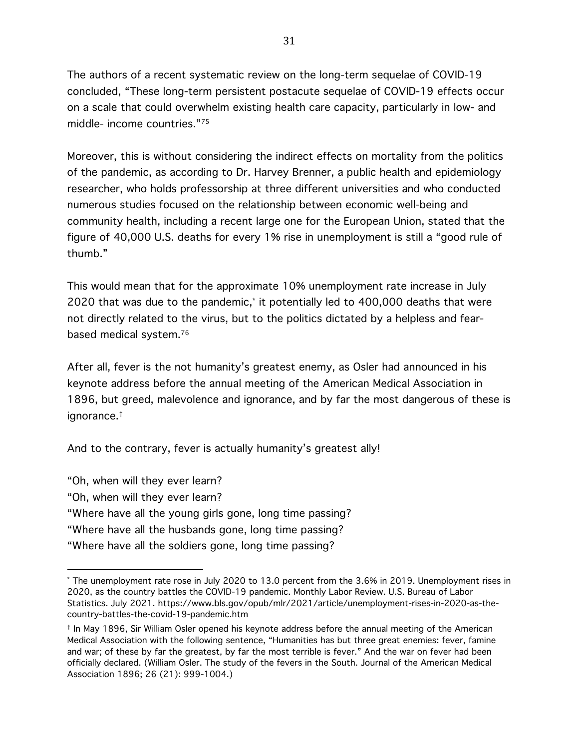The authors of a recent systematic review on the long-term sequelae of COVID-19 concluded, "These long-term persistent postacute sequelae of COVID-19 effects occur on a scale that could overwhelm existing health care capacity, particularly in low- and middle- income countries."75

Moreover, this is without considering the indirect effects on mortality from the politics of the pandemic, as according to Dr. Harvey Brenner, a public health and epidemiology researcher, who holds professorship at three different universities and who conducted numerous studies focused on the relationship between economic well-being and community health, including a recent large one for the European Union, stated that the figure of 40,000 U.S. deaths for every 1% rise in unemployment is still a "good rule of thumb."

This would mean that for the approximate 10% unemployment rate increase in July 2020 that was due to the pandemic, \* it potentially led to 400,000 deaths that were not directly related to the virus, but to the politics dictated by a helpless and fearbased medical system. 76

After all, fever is the not humanity's greatest enemy, as Osler had announced in his keynote address before the annual meeting of the American Medical Association in 1896, but greed, malevolence and ignorance, and by far the most dangerous of these is ignorance.†

And to the contrary, fever is actually humanity's greatest ally!

"Oh, when will they ever learn?

"Oh, when will they ever learn?

 

"Where have all the young girls gone, long time passing?

- "Where have all the husbands gone, long time passing?
- "Where have all the soldiers gone, long time passing?

<sup>\*</sup> The unemployment rate rose in July 2020 to 13.0 percent from the 3.6% in 2019. Unemployment rises in 2020, as the country battles the COVID-19 pandemic. Monthly Labor Review. U.S. Bureau of Labor Statistics. July 2021. https://www.bls.gov/opub/mlr/2021/article/unemployment-rises-in-2020-as-thecountry-battles-the-covid-19-pandemic.htm

<sup>†</sup> In May 1896, Sir William Osler opened his keynote address before the annual meeting of the American Medical Association with the following sentence, "Humanities has but three great enemies: fever, famine and war; of these by far the greatest, by far the most terrible is fever." And the war on fever had been officially declared. (William Osler. The study of the fevers in the South. Journal of the American Medical Association 1896; 26 (21): 999-1004.)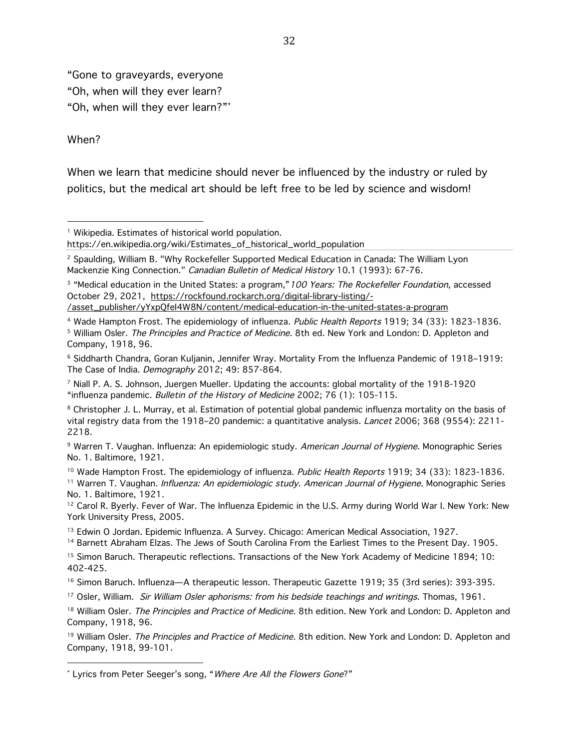"Gone to graveyards, everyone "Oh, when will they ever learn? "Oh, when will they ever learn?"\*

 

## When?

When we learn that medicine should never be influenced by the industry or ruled by politics, but the medical art should be left free to be led by science and wisdom!

<sup>4</sup> Wade Hampton Frost. The epidemiology of influenza. Public Health Reports 1919; 34 (33): 1823-1836.

- <sup>6</sup> Siddharth Chandra, Goran Kuljanin, Jennifer Wray. Mortality From the Influenza Pandemic of 1918–1919: The Case of India. Demography 2012; 49: 857-864.
- $7$  Niall P. A. S. Johnson, Juergen Mueller. Updating the accounts: global mortality of the 1918-1920 "influenza pandemic. Bulletin of the History of Medicine 2002; 76 (1): 105-115.
- <sup>8</sup> Christopher J. L. Murray, et al. Estimation of potential global pandemic influenza mortality on the basis of vital registry data from the 1918-20 pandemic: a quantitative analysis. Lancet 2006; 368 (9554): 2211-2218.
- <sup>9</sup> Warren T. Vaughan. Influenza: An epidemiologic study. American Journal of Hygiene. Monographic Series No. 1. Baltimore, 1921.
- <sup>10</sup> Wade Hampton Frost. The epidemiology of influenza. Public Health Reports 1919; 34 (33): 1823-1836. <sup>11</sup> Warren T. Vaughan. Influenza: An epidemiologic study. American Journal of Hygiene. Monographic Series No. 1. Baltimore, 1921.
- <sup>12</sup> Carol R. Byerly. Fever of War. The Influenza Epidemic in the U.S. Army during World War I. New York: New York University Press, 2005.
- <sup>13</sup> Edwin O Jordan. Epidemic Influenza. A Survey. Chicago: American Medical Association, 1927.
- <sup>14</sup> Barnett Abraham Elzas. The Jews of South Carolina From the Earliest Times to the Present Day. 1905.
- <sup>15</sup> Simon Baruch. Therapeutic reflections. Transactions of the New York Academy of Medicine 1894; 10: 402-425.
- <sup>16</sup> Simon Baruch. Influenza—A therapeutic lesson. Therapeutic Gazette 1919; 35 (3rd series): 393-395.
- <sup>17</sup> Osler, William. Sir William Osler aphorisms: from his bedside teachings and writings. Thomas, 1961.
- <sup>18</sup> William Osler. The Principles and Practice of Medicine. 8th edition. New York and London: D. Appleton and Company, 1918, 96.
- <sup>19</sup> William Osler. The Principles and Practice of Medicine. 8th edition. New York and London: D. Appleton and Company, 1918, 99-101.

<sup>&</sup>lt;sup>1</sup> Wikipedia. Estimates of historical world population.

https://en.wikipedia.org/wiki/Estimates\_of\_historical\_world\_population

<sup>2</sup> Spaulding, William B. "Why Rockefeller Supported Medical Education in Canada: The William Lyon Mackenzie King Connection." Canadian Bulletin of Medical History 10.1 (1993): 67-76.

<sup>&</sup>lt;sup>3</sup> "Medical education in the United States: a program," 100 Years: The Rockefeller Foundation, accessed October 29, 2021, https://rockfound.rockarch.org/digital-library-listing/-

<sup>/</sup>asset\_publisher/yYxpQfeI4W8N/content/medical-education-in-the-united-states-a-program

<sup>&</sup>lt;sup>5</sup> William Osler. The Principles and Practice of Medicine. 8th ed. New York and London: D. Appleton and Company, 1918, 96.

<sup>\*</sup> Lyrics from Peter Seeger's song, "Where Are All the Flowers Gone?"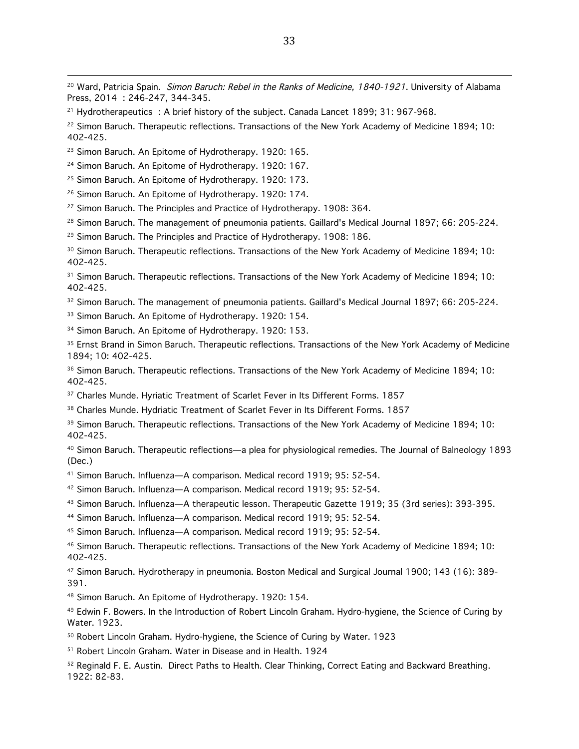<sup>20</sup> Ward, Patricia Spain. Simon Baruch: Rebel in the Ranks of Medicine, 1840-1921. University of Alabama Press, 2014 : 246-247, 344-345.

<sup>22</sup> Simon Baruch. Therapeutic reflections. Transactions of the New York Academy of Medicine 1894; 10: 402-425.

- <sup>23</sup> Simon Baruch. An Epitome of Hydrotherapy. 1920: 165.
- <sup>24</sup> Simon Baruch. An Epitome of Hydrotherapy. 1920: 167.
- <sup>25</sup> Simon Baruch. An Epitome of Hydrotherapy. 1920: 173.
- <sup>26</sup> Simon Baruch. An Epitome of Hydrotherapy. 1920: 174.
- <sup>27</sup> Simon Baruch. The Principles and Practice of Hydrotherapy. 1908: 364.
- <sup>28</sup> Simon Baruch. The management of pneumonia patients. Gaillard's Medical Journal 1897; 66: 205-224.
- <sup>29</sup> Simon Baruch. The Principles and Practice of Hydrotherapy. 1908: 186.

<sup>30</sup> Simon Baruch. Therapeutic reflections. Transactions of the New York Academy of Medicine 1894; 10: 402-425.

<sup>31</sup> Simon Baruch. Therapeutic reflections. Transactions of the New York Academy of Medicine 1894; 10: 402-425.

- <sup>32</sup> Simon Baruch. The management of pneumonia patients. Gaillard's Medical Journal 1897; 66: 205-224.
- <sup>33</sup> Simon Baruch. An Epitome of Hydrotherapy. 1920: 154.
- <sup>34</sup> Simon Baruch. An Epitome of Hydrotherapy. 1920: 153.

<sup>35</sup> Ernst Brand in Simon Baruch. Therapeutic reflections. Transactions of the New York Academy of Medicine 1894; 10: 402-425.

<sup>36</sup> Simon Baruch. Therapeutic reflections. Transactions of the New York Academy of Medicine 1894; 10: 402-425.

- <sup>37</sup> Charles Munde. Hyriatic Treatment of Scarlet Fever in Its Different Forms. 1857
- <sup>38</sup> Charles Munde. Hydriatic Treatment of Scarlet Fever in Its Different Forms. 1857
- <sup>39</sup> Simon Baruch. Therapeutic reflections. Transactions of the New York Academy of Medicine 1894; 10: 402-425.

<sup>40</sup> Simon Baruch. Therapeutic reflections—a plea for physiological remedies. The Journal of Balneology 1893 (Dec.)

- <sup>41</sup> Simon Baruch. Influenza—A comparison. Medical record 1919; 95: 52-54.
- <sup>42</sup> Simon Baruch. Influenza—A comparison. Medical record 1919; 95: 52-54.
- <sup>43</sup> Simon Baruch. Influenza—A therapeutic lesson. Therapeutic Gazette 1919; 35 (3rd series): 393-395.
- <sup>44</sup> Simon Baruch. Influenza—A comparison. Medical record 1919; 95: 52-54.
- <sup>45</sup> Simon Baruch. Influenza—A comparison. Medical record 1919; 95: 52-54.
- <sup>46</sup> Simon Baruch. Therapeutic reflections. Transactions of the New York Academy of Medicine 1894; 10: 402-425.

<sup>47</sup> Simon Baruch. Hydrotherapy in pneumonia. Boston Medical and Surgical Journal 1900; 143 (16): 389- 391.

- <sup>48</sup> Simon Baruch. An Epitome of Hydrotherapy. 1920: 154.
- 49 Edwin F. Bowers. In the Introduction of Robert Lincoln Graham. Hydro-hygiene, the Science of Curing by Water. 1923.
- <sup>50</sup> Robert Lincoln Graham. Hydro-hygiene, the Science of Curing by Water. 1923

<sup>51</sup> Robert Lincoln Graham. Water in Disease and in Health. 1924

52 Reginald F. E. Austin. Direct Paths to Health. Clear Thinking, Correct Eating and Backward Breathing. 1922: 82-83.

<sup>&</sup>lt;sup>21</sup> Hydrotherapeutics : A brief history of the subject. Canada Lancet 1899; 31: 967-968.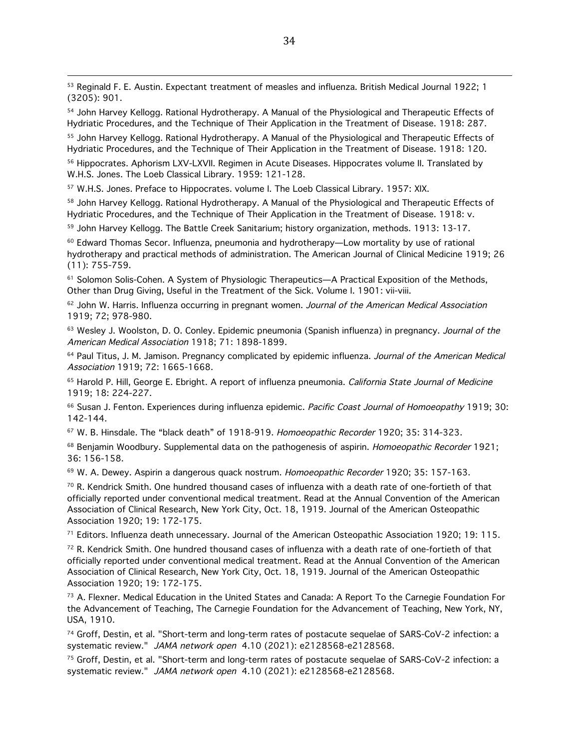53 Reginald F. E. Austin. Expectant treatment of measles and influenza. British Medical Journal 1922; 1 (3205): 901.

54 John Harvey Kellogg. Rational Hydrotherapy. A Manual of the Physiological and Therapeutic Effects of Hydriatic Procedures, and the Technique of Their Application in the Treatment of Disease. 1918: 287.

<sup>55</sup> John Harvey Kellogg. Rational Hydrotherapy. A Manual of the Physiological and Therapeutic Effects of Hydriatic Procedures, and the Technique of Their Application in the Treatment of Disease. 1918: 120.

56 Hippocrates. Aphorism LXV-LXVII. Regimen in Acute Diseases. Hippocrates volume II. Translated by W.H.S. Jones. The Loeb Classical Library. 1959: 121-128.

<sup>57</sup> W.H.S. Jones. Preface to Hippocrates. volume I. The Loeb Classical Library. 1957: XIX.

58 John Harvey Kellogg. Rational Hydrotherapy. A Manual of the Physiological and Therapeutic Effects of Hydriatic Procedures, and the Technique of Their Application in the Treatment of Disease. 1918: v.

<sup>59</sup> John Harvey Kellogg. The Battle Creek Sanitarium; history organization, methods. 1913: 13-17.

 $60$  Edward Thomas Secor. Influenza, pneumonia and hydrotherapy—Low mortality by use of rational hydrotherapy and practical methods of administration. The American Journal of Clinical Medicine 1919; 26 (11): 755-759.

<sup>61</sup> Solomon Solis-Cohen. A System of Physiologic Therapeutics—A Practical Exposition of the Methods, Other than Drug Giving, Useful in the Treatment of the Sick. Volume I. 1901: vii-viii.

62 John W. Harris. Influenza occurring in pregnant women. Journal of the American Medical Association 1919; 72; 978-980.

63 Wesley J. Woolston, D. O. Conley. Epidemic pneumonia (Spanish influenza) in pregnancy. Journal of the American Medical Association 1918; 71: 1898-1899.

64 Paul Titus, J. M. Jamison. Pregnancy complicated by epidemic influenza. Journal of the American Medical Association 1919; 72: 1665-1668.

<sup>65</sup> Harold P. Hill, George E. Ebright. A report of influenza pneumonia. *California State Journal of Medicine* 1919; 18: 224-227.

66 Susan J. Fenton. Experiences during influenza epidemic. Pacific Coast Journal of Homoeopathy 1919; 30: 142-144.

67 W. B. Hinsdale. The "black death" of 1918-919. Homoeopathic Recorder 1920; 35: 314-323.

68 Benjamin Woodbury. Supplemental data on the pathogenesis of aspirin. Homoeopathic Recorder 1921; 36: 156-158.

69 W. A. Dewey. Aspirin a dangerous quack nostrum. Homoeopathic Recorder 1920; 35: 157-163.

 $70$  R. Kendrick Smith. One hundred thousand cases of influenza with a death rate of one-fortieth of that officially reported under conventional medical treatment. Read at the Annual Convention of the American Association of Clinical Research, New York City, Oct. 18, 1919. Journal of the American Osteopathic Association 1920; 19: 172-175.

<sup>71</sup> Editors. Influenza death unnecessary. Journal of the American Osteopathic Association 1920; 19: 115.

 $72$  R. Kendrick Smith. One hundred thousand cases of influenza with a death rate of one-fortieth of that officially reported under conventional medical treatment. Read at the Annual Convention of the American Association of Clinical Research, New York City, Oct. 18, 1919. Journal of the American Osteopathic Association 1920; 19: 172-175.

 $73$  A. Flexner. Medical Education in the United States and Canada: A Report To the Carnegie Foundation For the Advancement of Teaching, The Carnegie Foundation for the Advancement of Teaching, New York, NY, USA, 1910.

74 Groff, Destin, et al. "Short-term and long-term rates of postacute sequelae of SARS-CoV-2 infection: a systematic review." JAMA network open 4.10 (2021): e2128568-e2128568.

<sup>75</sup> Groff, Destin, et al. "Short-term and long-term rates of postacute sequelae of SARS-CoV-2 infection: a systematic review." JAMA network open 4.10 (2021): e2128568-e2128568.